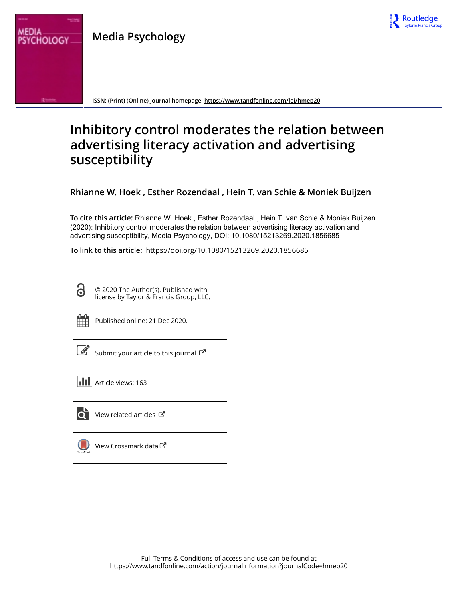

**Media Psychology**



**ISSN: (Print) (Online) Journal homepage:<https://www.tandfonline.com/loi/hmep20>**

# **Inhibitory control moderates the relation between advertising literacy activation and advertising susceptibility**

**Rhianne W. Hoek , Esther Rozendaal , Hein T. van Schie & Moniek Buijzen**

**To cite this article:** Rhianne W. Hoek , Esther Rozendaal , Hein T. van Schie & Moniek Buijzen (2020): Inhibitory control moderates the relation between advertising literacy activation and advertising susceptibility, Media Psychology, DOI: [10.1080/15213269.2020.1856685](https://www.tandfonline.com/action/showCitFormats?doi=10.1080/15213269.2020.1856685)

**To link to this article:** <https://doi.org/10.1080/15213269.2020.1856685>

© 2020 The Author(s). Published with license by Taylor & Francis Group, LLC.

G

Published online: 21 Dec 2020.

[Submit your article to this journal](https://www.tandfonline.com/action/authorSubmission?journalCode=hmep20&show=instructions)  $\mathbb{Z}$ 

**III** Article views: 163



 $\bullet$  [View related articles](https://www.tandfonline.com/doi/mlt/10.1080/15213269.2020.1856685)  $\circ$ 

[View Crossmark data](http://crossmark.crossref.org/dialog/?doi=10.1080/15213269.2020.1856685&domain=pdf&date_stamp=2020-12-21)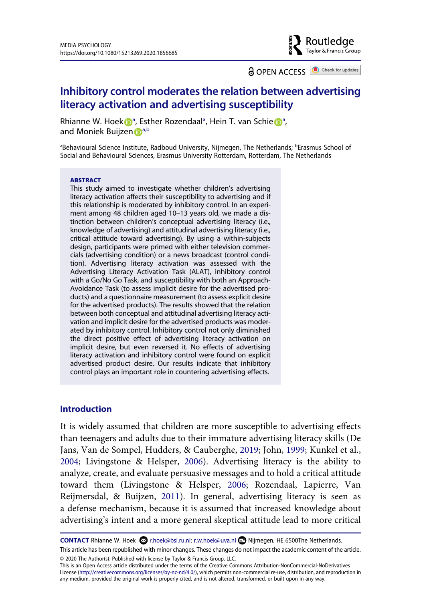a OPEN ACCESS **B** Check for updates

 $\blacktriangleright$  Routledge Taylor & Francis Group

# **Inhibitory control moderates the relation between advertising literacy activation and advertising susceptibility**

Rhi[a](#page-1-0)nn[e](http://orcid.org/0000-0002-1149-5198) W. Hoek D<sup>a</sup>, Esther Rozendaal<sup>a</sup>, Hein T. van Schie D<sup>a</sup>, a[n](http://orcid.org/0000-0003-3780-0856)d Moniek Buijzen D[a,b](#page-1-0)

<span id="page-1-0"></span><sup>a</sup>Behavioural Science Institute, Radboud University, Nijmegen, The Netherlands; <sup>b</sup>Erasmus School of Social and Behavioural Sciences, Erasmus University Rotterdam, Rotterdam, The Netherlands

#### **ABSTRACT**

This study aimed to investigate whether children's advertising literacy activation affects their susceptibility to advertising and if this relationship is moderated by inhibitory control. In an experiment among 48 children aged 10–13 years old, we made a distinction between children's conceptual advertising literacy (i.e., knowledge of advertising) and attitudinal advertising literacy (i.e., critical attitude toward advertising). By using a within-subjects design, participants were primed with either television commercials (advertising condition) or a news broadcast (control condition). Advertising literacy activation was assessed with the Advertising Literacy Activation Task (ALAT), inhibitory control with a Go/No Go Task, and susceptibility with both an Approach-Avoidance Task (to assess implicit desire for the advertised products) and a questionnaire measurement (to assess explicit desire for the advertised products). The results showed that the relation between both conceptual and attitudinal advertising literacy activation and implicit desire for the advertised products was moderated by inhibitory control. Inhibitory control not only diminished the direct positive effect of advertising literacy activation on implicit desire, but even reversed it. No effects of advertising literacy activation and inhibitory control were found on explicit advertised product desire. Our results indicate that inhibitory control plays an important role in countering advertising effects.

#### **Introduction**

<span id="page-1-2"></span><span id="page-1-1"></span>It is widely assumed that children are more susceptible to advertising effects than teenagers and adults due to their immature advertising literacy skills (De Jans, Van de Sompel, Hudders, & Cauberghe, [2019](#page-26-0); John, [1999;](#page-27-0) Kunkel et al., [2004](#page-27-1); Livingstone & Helsper, [2006\)](#page-28-0). Advertising literacy is the ability to analyze, create, and evaluate persuasive messages and to hold a critical attitude toward them (Livingstone & Helsper, [2006;](#page-28-0) Rozendaal, Lapierre, Van Reijmersdal, & Buijzen, [2011](#page-29-0)). In general, advertising literacy is seen as a defense mechanism, because it is assumed that increased knowledge about advertising's intent and a more general skeptical attitude lead to more critical

<span id="page-1-3"></span>**CONTACT** Rhianne W. Hoek a r.hoek@bsi.ru.nl; r.w.hoek@uva.nl **D** Nijmegen, HE 6500The Netherlands.

This is an Open Access article distributed under the terms of the Creative Commons Attribution-NonCommercial-NoDerivatives License (http://creativecommons.org/licenses/by-nc-nd/4.0/), which permits non-commercial re-use, distribution, and reproduction in any medium, provided the original work is properly cited, and is not altered, transformed, or built upon in any way.

This article has been republished with minor changes. These changes do not impact the academic content of the article. © 2020 The Author(s). Published with license by Taylor & Francis Group, LLC.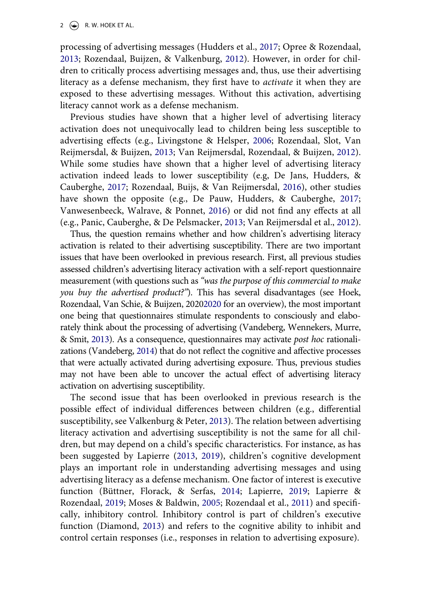2  $\left(\frac{1}{2}\right)$  R. W. HOEK ET AL.

<span id="page-2-9"></span><span id="page-2-5"></span>processing of advertising messages (Hudders et al., [2017;](#page-27-2) Opree & Rozendaal, [2013](#page-28-1); Rozendaal, Buijzen, & Valkenburg, [2012\)](#page-29-1). However, in order for children to critically process advertising messages and, thus, use their advertising literacy as a defense mechanism, they first have to *activate* it when they are exposed to these advertising messages. Without this activation, advertising literacy cannot work as a defense mechanism.

<span id="page-2-10"></span>Previous studies have shown that a higher level of advertising literacy activation does not unequivocally lead to children being less susceptible to advertising effects (e.g., Livingstone & Helsper, [2006;](#page-28-0) Rozendaal, Slot, Van Reijmersdal, & Buijzen, [2013](#page-29-2); Van Reijmersdal, Rozendaal, & Buijzen, [2012](#page-29-3)). While some studies have shown that a higher level of advertising literacy activation indeed leads to lower susceptibility (e.g, De Jans, Hudders, & Cauberghe, [2017;](#page-26-1) Rozendaal, Buijs, & Van Reijmersdal, [2016\)](#page-29-4), other studies have shown the opposite (e.g., De Pauw, Hudders, & Cauberghe, [2017](#page-26-2); Vanwesenbeeck, Walrave, & Ponnet, [2016\)](#page-30-0) or did not find any effects at all (e.g., Panic, Cauberghe, & De Pelsmacker, [2013;](#page-28-2) Van Reijmersdal et al., [2012](#page-29-3)).

<span id="page-2-14"></span><span id="page-2-8"></span><span id="page-2-4"></span><span id="page-2-2"></span><span id="page-2-1"></span>Thus, the question remains whether and how children's advertising literacy activation is related to their advertising susceptibility. There are two important issues that have been overlooked in previous research. First, all previous studies assessed children's advertising literacy activation with a self-report questionnaire measurement (with questions such as *"was the purpose of this commercial to make you buy the advertised product?"*). This has several disadvantages (see Hoek, Rozendaal, Van Schie, & Buijzen, 202[02020](#page-27-3) for an overview), the most important one being that questionnaires stimulate respondents to consciously and elaborately think about the processing of advertising (Vandeberg, Wennekers, Murre, & Smit, [2013\)](#page-30-1). As a consequence, questionnaires may activate *post hoc* rationalizations (Vandeberg, [2014\)](#page-30-2) that do not reflect the cognitive and affective processes that were actually activated during advertising exposure. Thus, previous studies may not have been able to uncover the actual effect of advertising literacy activation on advertising susceptibility.

<span id="page-2-13"></span><span id="page-2-12"></span><span id="page-2-11"></span><span id="page-2-7"></span><span id="page-2-6"></span><span id="page-2-3"></span><span id="page-2-0"></span>The second issue that has been overlooked in previous research is the possible effect of individual differences between children (e.g., differential susceptibility, see Valkenburg & Peter, [2013\)](#page-29-5). The relation between advertising literacy activation and advertising susceptibility is not the same for all children, but may depend on a child's specific characteristics. For instance, as has been suggested by Lapierre ([2013,](#page-27-4) [2019](#page-28-3)), children's cognitive development plays an important role in understanding advertising messages and using advertising literacy as a defense mechanism. One factor of interest is executive function (Büttner, Florack, & Serfas, [2014](#page-26-3); Lapierre, [2019;](#page-28-3) Lapierre & Rozendaal, [2019;](#page-28-4) Moses & Baldwin, [2005;](#page-28-5) Rozendaal et al., [2011\)](#page-29-0) and specifically, inhibitory control. Inhibitory control is part of children's executive function (Diamond, [2013\)](#page-27-5) and refers to the cognitive ability to inhibit and control certain responses (i.e., responses in relation to advertising exposure).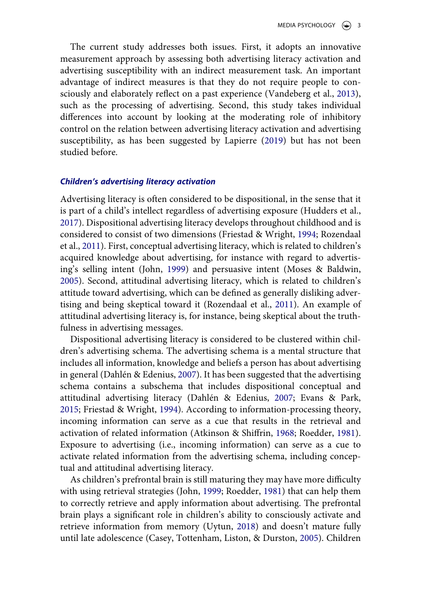The current study addresses both issues. First, it adopts an innovative measurement approach by assessing both advertising literacy activation and advertising susceptibility with an indirect measurement task. An important advantage of indirect measures is that they do not require people to consciously and elaborately reflect on a past experience (Vandeberg et al., [2013](#page-30-1)), such as the processing of advertising. Second, this study takes individual differences into account by looking at the moderating role of inhibitory control on the relation between advertising literacy activation and advertising susceptibility, as has been suggested by Lapierre ([2019\)](#page-28-3) but has not been studied before.

# *Children's advertising literacy activation*

Advertising literacy is often considered to be dispositional, in the sense that it is part of a child's intellect regardless of advertising exposure (Hudders et al., [2017](#page-27-2)). Dispositional advertising literacy develops throughout childhood and is considered to consist of two dimensions (Friestad & Wright, [1994](#page-27-6); Rozendaal et al., [2011](#page-29-0)). First, conceptual advertising literacy, which is related to children's acquired knowledge about advertising, for instance with regard to advertising's selling intent (John, [1999](#page-27-0)) and persuasive intent (Moses & Baldwin, [2005](#page-28-5)). Second, attitudinal advertising literacy, which is related to children's attitude toward advertising, which can be defined as generally disliking advertising and being skeptical toward it (Rozendaal et al., [2011](#page-29-0)). An example of attitudinal advertising literacy is, for instance, being skeptical about the truthfulness in advertising messages.

<span id="page-3-3"></span><span id="page-3-2"></span>Dispositional advertising literacy is considered to be clustered within children's advertising schema. The advertising schema is a mental structure that includes all information, knowledge and beliefs a person has about advertising in general (Dahlén & Edenius, [2007](#page-26-4)). It has been suggested that the advertising schema contains a subschema that includes dispositional conceptual and attitudinal advertising literacy (Dahlén & Edenius, [2007;](#page-26-4) Evans & Park, [2015](#page-27-7); Friestad & Wright, [1994\)](#page-27-6). According to information-processing theory, incoming information can serve as a cue that results in the retrieval and activation of related information (Atkinson & Shiffrin, [1968](#page-26-5); Roedder, [1981](#page-28-6)). Exposure to advertising (i.e., incoming information) can serve as a cue to activate related information from the advertising schema, including conceptual and attitudinal advertising literacy.

<span id="page-3-5"></span><span id="page-3-4"></span><span id="page-3-1"></span><span id="page-3-0"></span>As children's prefrontal brain is still maturing they may have more difficulty with using retrieval strategies (John, [1999;](#page-27-0) Roedder, [1981](#page-28-6)) that can help them to correctly retrieve and apply information about advertising. The prefrontal brain plays a significant role in children's ability to consciously activate and retrieve information from memory (Uytun, [2018\)](#page-29-6) and doesn't mature fully until late adolescence (Casey, Tottenham, Liston, & Durston, [2005](#page-26-6)). Children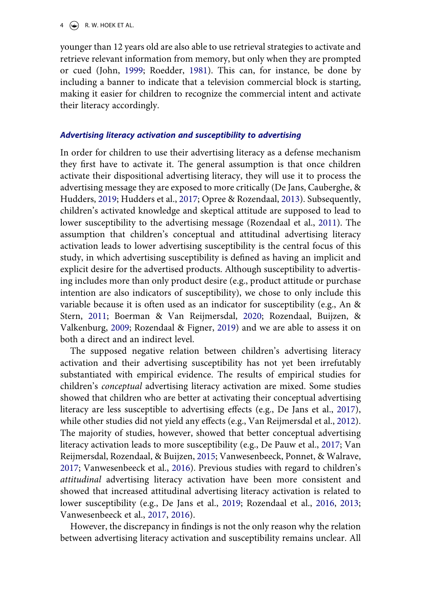$4 \quad (*)$  R. W. HOEK ET AL.

younger than 12 years old are also able to use retrieval strategies to activate and retrieve relevant information from memory, but only when they are prompted or cued (John, [1999](#page-27-0); Roedder, [1981\)](#page-28-6). This can, for instance, be done by including a banner to indicate that a television commercial block is starting, making it easier for children to recognize the commercial intent and activate their literacy accordingly.

#### *Advertising literacy activation and susceptibility to advertising*

In order for children to use their advertising literacy as a defense mechanism they first have to activate it. The general assumption is that once children activate their dispositional advertising literacy, they will use it to process the advertising message they are exposed to more critically (De Jans, Cauberghe, & Hudders, [2019;](#page-26-7) Hudders et al., [2017;](#page-27-2) Opree & Rozendaal, [2013\)](#page-28-1). Subsequently, children's activated knowledge and skeptical attitude are supposed to lead to lower susceptibility to the advertising message (Rozendaal et al., [2011](#page-29-0)). The assumption that children's conceptual and attitudinal advertising literacy activation leads to lower advertising susceptibility is the central focus of this study, in which advertising susceptibility is defined as having an implicit and explicit desire for the advertised products. Although susceptibility to advertising includes more than only product desire (e.g., product attitude or purchase intention are also indicators of susceptibility), we chose to only include this variable because it is often used as an indicator for susceptibility (e.g., An & Stern, [2011;](#page-25-0) Boerman & Van Reijmersdal, [2020](#page-26-8); Rozendaal, Buijzen, & Valkenburg, [2009;](#page-29-7) Rozendaal & Figner, [2019](#page-29-8)) and we are able to assess it on both a direct and an indirect level.

<span id="page-4-2"></span><span id="page-4-0"></span>The supposed negative relation between children's advertising literacy activation and their advertising susceptibility has not yet been irrefutably substantiated with empirical evidence. The results of empirical studies for children's *conceptual* advertising literacy activation are mixed. Some studies showed that children who are better at activating their conceptual advertising literacy are less susceptible to advertising effects (e.g., De Jans et al., [2017](#page-26-1)), while other studies did not yield any effects (e.g., Van Reijmersdal et al., [2012](#page-29-3)). The majority of studies, however, showed that better conceptual advertising literacy activation leads to more susceptibility (e.g., De Pauw et al., [2017;](#page-26-2) Van Reijmersdal, Rozendaal, & Buijzen, [2015;](#page-29-9) Vanwesenbeeck, Ponnet, & Walrave, [2017](#page-30-3); Vanwesenbeeck et al., [2016\)](#page-30-0). Previous studies with regard to children's *attitudinal* advertising literacy activation have been more consistent and showed that increased attitudinal advertising literacy activation is related to lower susceptibility (e.g., De Jans et al., [2019](#page-26-7); Rozendaal et al., [2016](#page-29-4), [2013](#page-29-2); Vanwesenbeeck et al., [2017](#page-30-3), [2016](#page-30-0)).

<span id="page-4-4"></span><span id="page-4-3"></span><span id="page-4-1"></span>However, the discrepancy in findings is not the only reason why the relation between advertising literacy activation and susceptibility remains unclear. All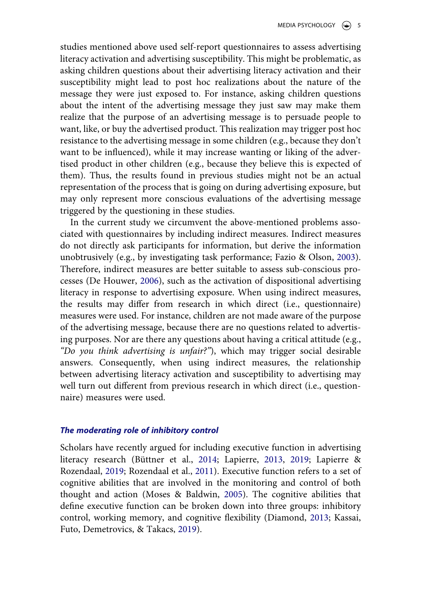studies mentioned above used self-report questionnaires to assess advertising literacy activation and advertising susceptibility. This might be problematic, as asking children questions about their advertising literacy activation and their susceptibility might lead to post hoc realizations about the nature of the message they were just exposed to. For instance, asking children questions about the intent of the advertising message they just saw may make them realize that the purpose of an advertising message is to persuade people to want, like, or buy the advertised product. This realization may trigger post hoc resistance to the advertising message in some children (e.g., because they don't want to be influenced), while it may increase wanting or liking of the advertised product in other children (e.g., because they believe this is expected of them). Thus, the results found in previous studies might not be an actual representation of the process that is going on during advertising exposure, but may only represent more conscious evaluations of the advertising message triggered by the questioning in these studies.

<span id="page-5-1"></span><span id="page-5-0"></span>In the current study we circumvent the above-mentioned problems associated with questionnaires by including indirect measures. Indirect measures do not directly ask participants for information, but derive the information unobtrusively (e.g., by investigating task performance; Fazio & Olson, [2003](#page-27-8)). Therefore, indirect measures are better suitable to assess sub-conscious processes (De Houwer, [2006\)](#page-26-9), such as the activation of dispositional advertising literacy in response to advertising exposure. When using indirect measures, the results may differ from research in which direct (i.e., questionnaire) measures were used. For instance, children are not made aware of the purpose of the advertising message, because there are no questions related to advertising purposes. Nor are there any questions about having a critical attitude (e.g., *"Do you think advertising is unfair?"*), which may trigger social desirable answers. Consequently, when using indirect measures, the relationship between advertising literacy activation and susceptibility to advertising may well turn out different from previous research in which direct (i.e., questionnaire) measures were used.

#### *The moderating role of inhibitory control*

<span id="page-5-2"></span>Scholars have recently argued for including executive function in advertising literacy research (Büttner et al., [2014;](#page-26-3) Lapierre, [2013,](#page-27-4) [2019;](#page-28-3) Lapierre & Rozendaal, [2019](#page-28-4); Rozendaal et al., [2011\)](#page-29-0). Executive function refers to a set of cognitive abilities that are involved in the monitoring and control of both thought and action (Moses & Baldwin, [2005](#page-28-5)). The cognitive abilities that define executive function can be broken down into three groups: inhibitory control, working memory, and cognitive flexibility (Diamond, [2013](#page-27-5); Kassai, Futo, Demetrovics, & Takacs, [2019](#page-27-9)).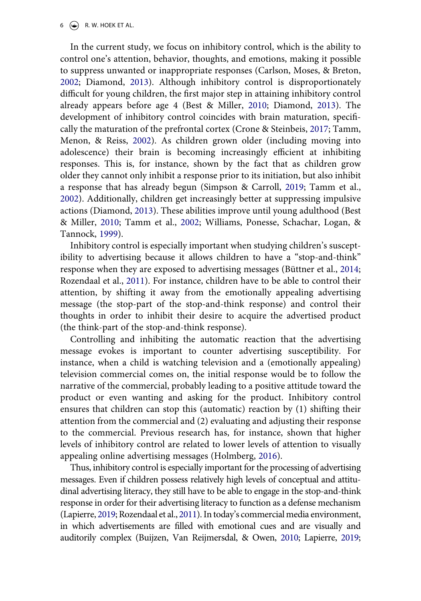#### $6 \quad \textcircled{\LARGE{\textcircled{\text{--}}}}$  R. W. HOEK ET AL.

<span id="page-6-3"></span><span id="page-6-2"></span>In the current study, we focus on inhibitory control, which is the ability to control one's attention, behavior, thoughts, and emotions, making it possible to suppress unwanted or inappropriate responses (Carlson, Moses, & Breton, [2002](#page-26-10); Diamond, [2013\)](#page-27-5). Although inhibitory control is disproportionately difficult for young children, the first major step in attaining inhibitory control already appears before age 4 (Best & Miller, [2010](#page-26-11); Diamond, [2013\)](#page-27-5). The development of inhibitory control coincides with brain maturation, specifically the maturation of the prefrontal cortex (Crone & Steinbeis, [2017](#page-26-12); Tamm, Menon, & Reiss, [2002\)](#page-29-10). As children grown older (including moving into adolescence) their brain is becoming increasingly efficient at inhibiting responses. This is, for instance, shown by the fact that as children grow older they cannot only inhibit a response prior to its initiation, but also inhibit a response that has already begun (Simpson & Carroll, [2019](#page-29-11); Tamm et al., [2002](#page-29-10)). Additionally, children get increasingly better at suppressing impulsive actions (Diamond, [2013](#page-27-5)). These abilities improve until young adulthood (Best & Miller, [2010](#page-26-11); Tamm et al., [2002](#page-29-10); Williams, Ponesse, Schachar, Logan, & Tannock, [1999](#page-30-4)).

<span id="page-6-6"></span><span id="page-6-5"></span><span id="page-6-0"></span>Inhibitory control is especially important when studying children's susceptibility to advertising because it allows children to have a "stop-and-think" response when they are exposed to advertising messages (Büttner et al., [2014](#page-26-3); Rozendaal et al., [2011](#page-29-0)). For instance, children have to be able to control their attention, by shifting it away from the emotionally appealing advertising message (the stop-part of the stop-and-think response) and control their thoughts in order to inhibit their desire to acquire the advertised product (the think-part of the stop-and-think response).

Controlling and inhibiting the automatic reaction that the advertising message evokes is important to counter advertising susceptibility. For instance, when a child is watching television and a (emotionally appealing) television commercial comes on, the initial response would be to follow the narrative of the commercial, probably leading to a positive attitude toward the product or even wanting and asking for the product. Inhibitory control ensures that children can stop this (automatic) reaction by (1) shifting their attention from the commercial and (2) evaluating and adjusting their response to the commercial. Previous research has, for instance, shown that higher levels of inhibitory control are related to lower levels of attention to visually appealing online advertising messages (Holmberg, [2016\)](#page-27-10).

<span id="page-6-4"></span><span id="page-6-1"></span>Thus, inhibitory control is especially important for the processing of advertising messages. Even if children possess relatively high levels of conceptual and attitudinal advertising literacy, they still have to be able to engage in the stop-and-think response in order for their advertising literacy to function as a defense mechanism (Lapierre, [2019](#page-28-3); Rozendaal et al., [2011\)](#page-29-0). In today's commercial media environment, in which advertisements are filled with emotional cues and are visually and auditorily complex (Buijzen, Van Reijmersdal, & Owen, [2010](#page-26-13); Lapierre, [2019](#page-28-3);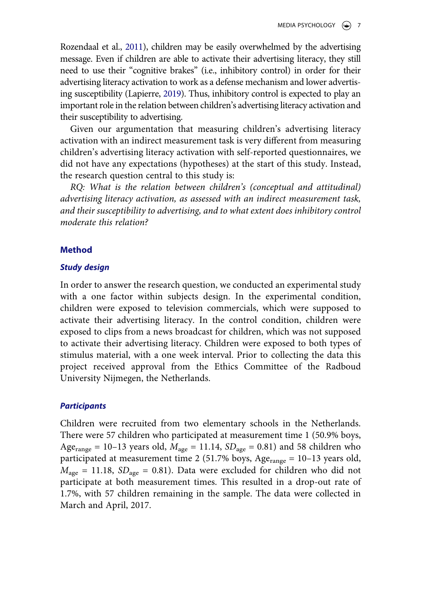Rozendaal et al., [2011](#page-29-0)), children may be easily overwhelmed by the advertising message. Even if children are able to activate their advertising literacy, they still need to use their "cognitive brakes" (i.e., inhibitory control) in order for their advertising literacy activation to work as a defense mechanism and lower advertising susceptibility (Lapierre, [2019\)](#page-28-3). Thus, inhibitory control is expected to play an important role in the relation between children's advertising literacy activation and their susceptibility to advertising.

Given our argumentation that measuring children's advertising literacy activation with an indirect measurement task is very different from measuring children's advertising literacy activation with self-reported questionnaires, we did not have any expectations (hypotheses) at the start of this study. Instead, the research question central to this study is:

*RQ: What is the relation between children's (conceptual and attitudinal) advertising literacy activation, as assessed with an indirect measurement task, and their susceptibility to advertising, and to what extent does inhibitory control moderate this relation?*

# **Method**

# *Study design*

In order to answer the research question, we conducted an experimental study with a one factor within subjects design. In the experimental condition, children were exposed to television commercials, which were supposed to activate their advertising literacy. In the control condition, children were exposed to clips from a news broadcast for children, which was not supposed to activate their advertising literacy. Children were exposed to both types of stimulus material, with a one week interval. Prior to collecting the data this project received approval from the Ethics Committee of the Radboud University Nijmegen, the Netherlands.

# *Participants*

Children were recruited from two elementary schools in the Netherlands. There were 57 children who participated at measurement time 1 (50.9% boys, Age<sub>range</sub> = 10–13 years old,  $M_{\text{age}} = 11.14$ ,  $SD_{\text{age}} = 0.81$ ) and 58 children who participated at measurement time 2 (51.7% boys, Age<sub>range</sub> = 10-13 years old,  $M_{\text{age}} = 11.18$ ,  $SD_{\text{age}} = 0.81$ ). Data were excluded for children who did not participate at both measurement times. This resulted in a drop-out rate of 1.7%, with 57 children remaining in the sample. The data were collected in March and April, 2017.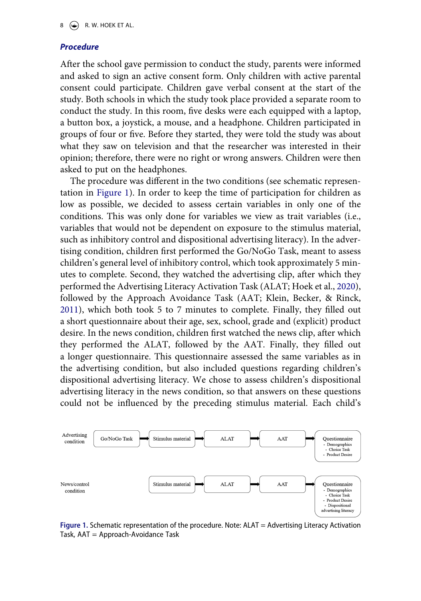#### *Procedure*

After the school gave permission to conduct the study, parents were informed and asked to sign an active consent form. Only children with active parental consent could participate. Children gave verbal consent at the start of the study. Both schools in which the study took place provided a separate room to conduct the study. In this room, five desks were each equipped with a laptop, a button box, a joystick, a mouse, and a headphone. Children participated in groups of four or five. Before they started, they were told the study was about what they saw on television and that the researcher was interested in their opinion; therefore, there were no right or wrong answers. Children were then asked to put on the headphones.

<span id="page-8-1"></span>The procedure was different in the two conditions (see schematic representation in [Figure 1\)](#page-8-0). In order to keep the time of participation for children as low as possible, we decided to assess certain variables in only one of the conditions. This was only done for variables we view as trait variables (i.e., variables that would not be dependent on exposure to the stimulus material, such as inhibitory control and dispositional advertising literacy). In the advertising condition, children first performed the Go/NoGo Task, meant to assess children's general level of inhibitory control, which took approximately 5 minutes to complete. Second, they watched the advertising clip, after which they performed the Advertising Literacy Activation Task (ALAT; Hoek et al., [2020](#page-27-3)), followed by the Approach Avoidance Task (AAT; Klein, Becker, & Rinck, [2011](#page-27-11)), which both took 5 to 7 minutes to complete. Finally, they filled out a short questionnaire about their age, sex, school, grade and (explicit) product desire. In the news condition, children first watched the news clip, after which they performed the ALAT, followed by the AAT. Finally, they filled out a longer questionnaire. This questionnaire assessed the same variables as in the advertising condition, but also included questions regarding children's dispositional advertising literacy. We chose to assess children's dispositional advertising literacy in the news condition, so that answers on these questions could not be influenced by the preceding stimulus material. Each child's

<span id="page-8-0"></span>

**Figure 1.** Schematic representation of the procedure. Note: ALAT = Advertising Literacy Activation Task, AAT = Approach-Avoidance Task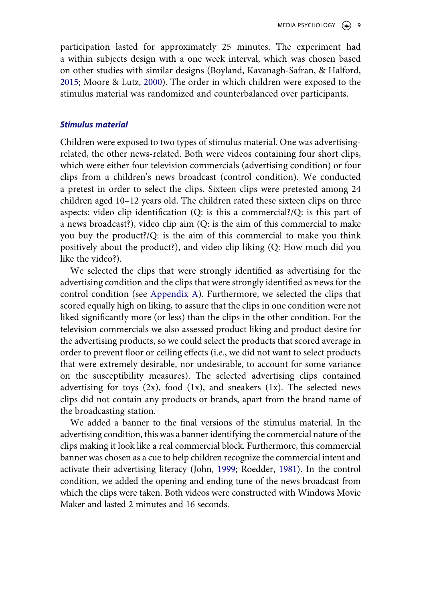<span id="page-9-1"></span><span id="page-9-0"></span>participation lasted for approximately 25 minutes. The experiment had a within subjects design with a one week interval, which was chosen based on other studies with similar designs (Boyland, Kavanagh-Safran, & Halford, [2015](#page-26-14); Moore & Lutz, [2000](#page-28-7)). The order in which children were exposed to the stimulus material was randomized and counterbalanced over participants.

#### *Stimulus material*

Children were exposed to two types of stimulus material. One was advertisingrelated, the other news-related. Both were videos containing four short clips, which were either four television commercials (advertising condition) or four clips from a children's news broadcast (control condition). We conducted a pretest in order to select the clips. Sixteen clips were pretested among 24 children aged 10–12 years old. The children rated these sixteen clips on three aspects: video clip identification (Q: is this a commercial?/Q: is this part of a news broadcast?), video clip aim (Q: is the aim of this commercial to make you buy the product?/Q: is the aim of this commercial to make you think positively about the product?), and video clip liking (Q: How much did you like the video?).

We selected the clips that were strongly identified as advertising for the advertising condition and the clips that were strongly identified as news for the control condition (see [Appendix A](#page-31-0)). Furthermore, we selected the clips that scored equally high on liking, to assure that the clips in one condition were not liked significantly more (or less) than the clips in the other condition. For the television commercials we also assessed product liking and product desire for the advertising products, so we could select the products that scored average in order to prevent floor or ceiling effects (i.e., we did not want to select products that were extremely desirable, nor undesirable, to account for some variance on the susceptibility measures). The selected advertising clips contained advertising for toys  $(2x)$ , food  $(1x)$ , and sneakers  $(1x)$ . The selected news clips did not contain any products or brands, apart from the brand name of the broadcasting station.

We added a banner to the final versions of the stimulus material. In the advertising condition, this was a banner identifying the commercial nature of the clips making it look like a real commercial block. Furthermore, this commercial banner was chosen as a cue to help children recognize the commercial intent and activate their advertising literacy (John, [1999;](#page-27-0) Roedder, [1981\)](#page-28-6). In the control condition, we added the opening and ending tune of the news broadcast from which the clips were taken. Both videos were constructed with Windows Movie Maker and lasted 2 minutes and 16 seconds.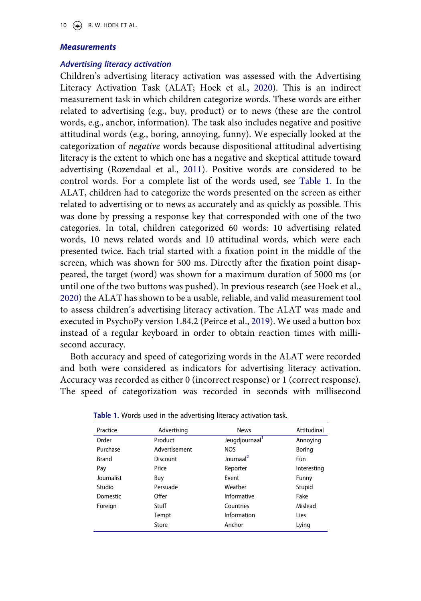#### *Measurements*

# *Advertising literacy activation*

Children's advertising literacy activation was assessed with the Advertising Literacy Activation Task (ALAT; Hoek et al., [2020](#page-27-3)). This is an indirect measurement task in which children categorize words. These words are either related to advertising (e.g., buy, product) or to news (these are the control words, e.g., anchor, information). The task also includes negative and positive attitudinal words (e.g., boring, annoying, funny). We especially looked at the categorization of *negative* words because dispositional attitudinal advertising literacy is the extent to which one has a negative and skeptical attitude toward advertising (Rozendaal et al., [2011\)](#page-29-0). Positive words are considered to be control words. For a complete list of the words used, see [Table 1.](#page-10-0) In the ALAT, children had to categorize the words presented on the screen as either related to advertising or to news as accurately and as quickly as possible. This was done by pressing a response key that corresponded with one of the two categories. In total, children categorized 60 words: 10 advertising related words, 10 news related words and 10 attitudinal words, which were each presented twice. Each trial started with a fixation point in the middle of the screen, which was shown for 500 ms. Directly after the fixation point disappeared, the target (word) was shown for a maximum duration of 5000 ms (or until one of the two buttons was pushed). In previous research (see Hoek et al., [2020](#page-27-3)) the ALAT has shown to be a usable, reliable, and valid measurement tool to assess children's advertising literacy activation. The ALAT was made and executed in PsychoPy version 1.84.2 (Peirce et al., [2019\)](#page-28-8). We used a button box instead of a regular keyboard in order to obtain reaction times with millisecond accuracy.

<span id="page-10-1"></span>Both accuracy and speed of categorizing words in the ALAT were recorded and both were considered as indicators for advertising literacy activation. Accuracy was recorded as either 0 (incorrect response) or 1 (correct response). The speed of categorization was recorded in seconds with millisecond

| Practice     | Advertising   | <b>News</b>                | Attitudinal |
|--------------|---------------|----------------------------|-------------|
| Order        | Product       | Jeugdjournaal <sup>1</sup> | Annoying    |
| Purchase     | Advertisement | <b>NOS</b>                 | Boring      |
| <b>Brand</b> | Discount      | Journaal <sup>2</sup>      | Fun         |
| Pay          | Price         | Reporter                   | Interesting |
| lournalist   | Buy           | Event                      | Funny       |
| Studio       | Persuade      | Weather                    | Stupid      |
| Domestic     | Offer         | Informative                | Fake        |
| Foreign      | Stuff         | Countries                  | Mislead     |
|              | Tempt         | Information                | Lies        |
|              | Store         | Anchor                     | Lying       |

<span id="page-10-0"></span>

|  |  |  |  | Table 1. Words used in the advertising literacy activation task. |  |  |  |
|--|--|--|--|------------------------------------------------------------------|--|--|--|
|--|--|--|--|------------------------------------------------------------------|--|--|--|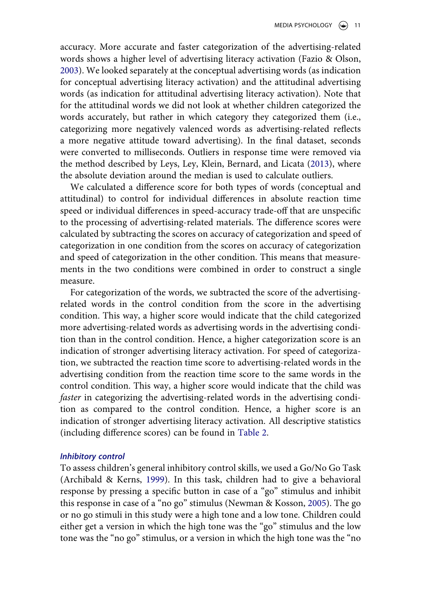accuracy. More accurate and faster categorization of the advertising-related words shows a higher level of advertising literacy activation (Fazio & Olson, [2003](#page-27-8)). We looked separately at the conceptual advertising words (as indication for conceptual advertising literacy activation) and the attitudinal advertising words (as indication for attitudinal advertising literacy activation). Note that for the attitudinal words we did not look at whether children categorized the words accurately, but rather in which category they categorized them (i.e., categorizing more negatively valenced words as advertising-related reflects a more negative attitude toward advertising). In the final dataset, seconds were converted to milliseconds. Outliers in response time were removed via the method described by Leys, Ley, Klein, Bernard, and Licata ([2013\)](#page-28-9), where the absolute deviation around the median is used to calculate outliers.

<span id="page-11-1"></span>We calculated a difference score for both types of words (conceptual and attitudinal) to control for individual differences in absolute reaction time speed or individual differences in speed-accuracy trade-off that are unspecific to the processing of advertising-related materials. The difference scores were calculated by subtracting the scores on accuracy of categorization and speed of categorization in one condition from the scores on accuracy of categorization and speed of categorization in the other condition. This means that measurements in the two conditions were combined in order to construct a single measure.

For categorization of the words, we subtracted the score of the advertisingrelated words in the control condition from the score in the advertising condition. This way, a higher score would indicate that the child categorized more advertising-related words as advertising words in the advertising condition than in the control condition. Hence, a higher categorization score is an indication of stronger advertising literacy activation. For speed of categorization, we subtracted the reaction time score to advertising-related words in the advertising condition from the reaction time score to the same words in the control condition. This way, a higher score would indicate that the child was *faster* in categorizing the advertising-related words in the advertising condition as compared to the control condition. Hence, a higher score is an indication of stronger advertising literacy activation. All descriptive statistics (including difference scores) can be found in [Table 2](#page-12-0).

# *Inhibitory control*

<span id="page-11-2"></span><span id="page-11-0"></span>To assess children's general inhibitory control skills, we used a Go/No Go Task (Archibald & Kerns, [1999\)](#page-25-3). In this task, children had to give a behavioral response by pressing a specific button in case of a "go" stimulus and inhibit this response in case of a "no go" stimulus (Newman & Kosson, [2005\)](#page-28-10). The go or no go stimuli in this study were a high tone and a low tone. Children could either get a version in which the high tone was the "go" stimulus and the low tone was the "no go" stimulus, or a version in which the high tone was the "no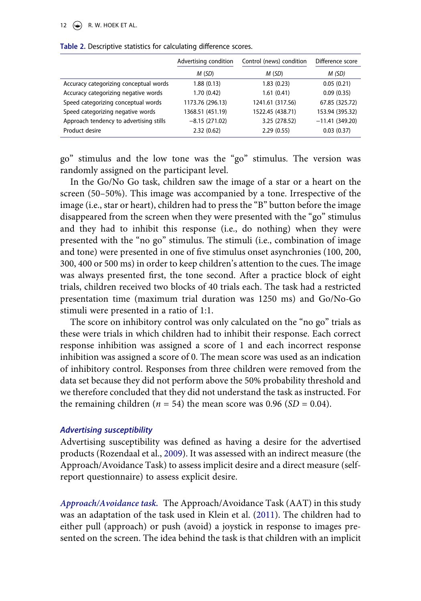#### 12  $\left(\bigstar\right)$  R. W. HOEK ET AL.

|                                         | Advertising condition | Control (news) condition | Difference score |
|-----------------------------------------|-----------------------|--------------------------|------------------|
|                                         | M(SD)                 | M(SD)                    | M (SD)           |
| Accuracy categorizing conceptual words  | 1.88(0.13)            | 1.83(0.23)               | 0.05(0.21)       |
| Accuracy categorizing negative words    | 1.70(0.42)            | 1.61(0.41)               | 0.09(0.35)       |
| Speed categorizing conceptual words     | 1173.76 (296.13)      | 1241.61 (317.56)         | 67.85 (325.72)   |
| Speed categorizing negative words       | 1368.51 (451.19)      | 1522.45 (438.71)         | 153.94 (395.32)  |
| Approach tendency to advertising stills | $-8.15(271.02)$       | 3.25 (278.52)            | $-11.41(349.20)$ |
| Product desire                          | 2.32(0.62)            | 2.29(0.55)               | 0.03(0.37)       |

<span id="page-12-0"></span>**Table 2.** Descriptive statistics for calculating difference scores.

go" stimulus and the low tone was the "go" stimulus. The version was randomly assigned on the participant level.

In the Go/No Go task, children saw the image of a star or a heart on the screen (50–50%). This image was accompanied by a tone. Irrespective of the image (i.e., star or heart), children had to press the "B" button before the image disappeared from the screen when they were presented with the "go" stimulus and they had to inhibit this response (i.e., do nothing) when they were presented with the "no go" stimulus. The stimuli (i.e., combination of image and tone) were presented in one of five stimulus onset asynchronies (100, 200, 300, 400 or 500 ms) in order to keep children's attention to the cues. The image was always presented first, the tone second. After a practice block of eight trials, children received two blocks of 40 trials each. The task had a restricted presentation time (maximum trial duration was 1250 ms) and Go/No-Go stimuli were presented in a ratio of 1:1.

The score on inhibitory control was only calculated on the "no go" trials as these were trials in which children had to inhibit their response. Each correct response inhibition was assigned a score of 1 and each incorrect response inhibition was assigned a score of 0. The mean score was used as an indication of inhibitory control. Responses from three children were removed from the data set because they did not perform above the 50% probability threshold and we therefore concluded that they did not understand the task as instructed. For the remaining children ( $n = 54$ ) the mean score was 0.96 (*SD* = 0.04).

#### *Advertising susceptibility*

Advertising susceptibility was defined as having a desire for the advertised products (Rozendaal et al., [2009](#page-29-7)). It was assessed with an indirect measure (the Approach/Avoidance Task) to assess implicit desire and a direct measure (selfreport questionnaire) to assess explicit desire.

*Approach/Avoidance task.* The Approach/Avoidance Task (AAT) in this study was an adaptation of the task used in Klein et al. ([2011\)](#page-27-11). The children had to either pull (approach) or push (avoid) a joystick in response to images presented on the screen. The idea behind the task is that children with an implicit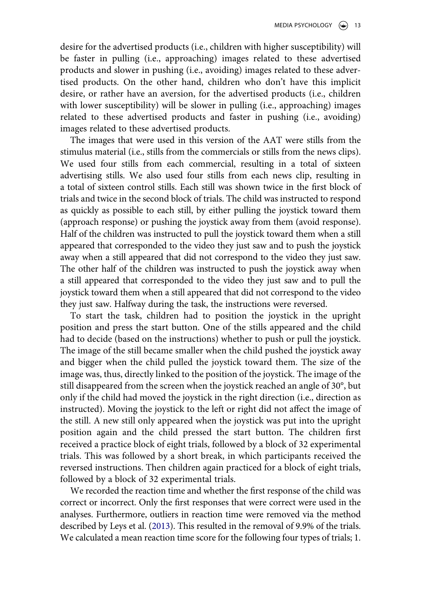desire for the advertised products (i.e., children with higher susceptibility) will be faster in pulling (i.e., approaching) images related to these advertised products and slower in pushing (i.e., avoiding) images related to these advertised products. On the other hand, children who don't have this implicit desire, or rather have an aversion, for the advertised products (i.e., children with lower susceptibility) will be slower in pulling (i.e., approaching) images related to these advertised products and faster in pushing (i.e., avoiding) images related to these advertised products.

The images that were used in this version of the AAT were stills from the stimulus material (i.e., stills from the commercials or stills from the news clips). We used four stills from each commercial, resulting in a total of sixteen advertising stills. We also used four stills from each news clip, resulting in a total of sixteen control stills. Each still was shown twice in the first block of trials and twice in the second block of trials. The child was instructed to respond as quickly as possible to each still, by either pulling the joystick toward them (approach response) or pushing the joystick away from them (avoid response). Half of the children was instructed to pull the joystick toward them when a still appeared that corresponded to the video they just saw and to push the joystick away when a still appeared that did not correspond to the video they just saw. The other half of the children was instructed to push the joystick away when a still appeared that corresponded to the video they just saw and to pull the joystick toward them when a still appeared that did not correspond to the video they just saw. Halfway during the task, the instructions were reversed.

To start the task, children had to position the joystick in the upright position and press the start button. One of the stills appeared and the child had to decide (based on the instructions) whether to push or pull the joystick. The image of the still became smaller when the child pushed the joystick away and bigger when the child pulled the joystick toward them. The size of the image was, thus, directly linked to the position of the joystick. The image of the still disappeared from the screen when the joystick reached an angle of 30°, but only if the child had moved the joystick in the right direction (i.e., direction as instructed). Moving the joystick to the left or right did not affect the image of the still. A new still only appeared when the joystick was put into the upright position again and the child pressed the start button. The children first received a practice block of eight trials, followed by a block of 32 experimental trials. This was followed by a short break, in which participants received the reversed instructions. Then children again practiced for a block of eight trials, followed by a block of 32 experimental trials.

We recorded the reaction time and whether the first response of the child was correct or incorrect. Only the first responses that were correct were used in the analyses. Furthermore, outliers in reaction time were removed via the method described by Leys et al. ([2013](#page-28-9)). This resulted in the removal of 9.9% of the trials. We calculated a mean reaction time score for the following four types of trials; 1.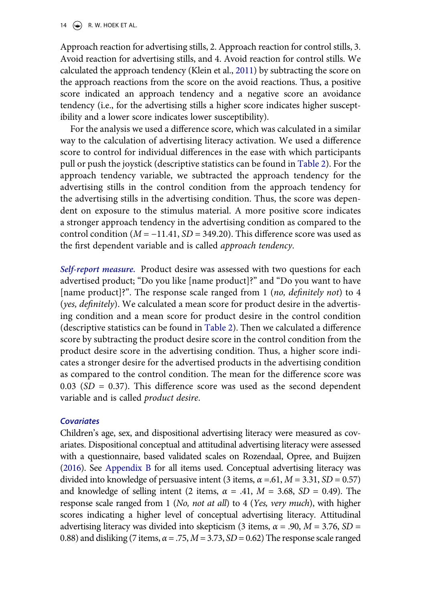14  $\left(\rightarrow\right)$  R. W. HOEK ET AL.

Approach reaction for advertising stills, 2. Approach reaction for control stills, 3. Avoid reaction for advertising stills, and 4. Avoid reaction for control stills. We calculated the approach tendency (Klein et al., [2011\)](#page-27-11) by subtracting the score on the approach reactions from the score on the avoid reactions. Thus, a positive score indicated an approach tendency and a negative score an avoidance tendency (i.e., for the advertising stills a higher score indicates higher susceptibility and a lower score indicates lower susceptibility).

For the analysis we used a difference score, which was calculated in a similar way to the calculation of advertising literacy activation. We used a difference score to control for individual differences in the ease with which participants pull or push the joystick (descriptive statistics can be found in [Table 2\)](#page-12-0). For the approach tendency variable, we subtracted the approach tendency for the advertising stills in the control condition from the approach tendency for the advertising stills in the advertising condition. Thus, the score was dependent on exposure to the stimulus material. A more positive score indicates a stronger approach tendency in the advertising condition as compared to the control condition (*M* = −11.41, *SD* = 349.20). This difference score was used as the first dependent variable and is called *approach tendency*.

*Self-report measure.* Product desire was assessed with two questions for each advertised product; "Do you like [name product]?" and "Do you want to have [name product]?". The response scale ranged from 1 (*no, definitely not*) to 4 (*yes, definitely*). We calculated a mean score for product desire in the advertising condition and a mean score for product desire in the control condition (descriptive statistics can be found in [Table 2\)](#page-12-0). Then we calculated a difference score by subtracting the product desire score in the control condition from the product desire score in the advertising condition. Thus, a higher score indicates a stronger desire for the advertised products in the advertising condition as compared to the control condition. The mean for the difference score was  $0.03$  (*SD* = 0.37). This difference score was used as the second dependent variable and is called *product desire*.

#### *Covariates*

<span id="page-14-0"></span>Children's age, sex, and dispositional advertising literacy were measured as covariates. Dispositional conceptual and attitudinal advertising literacy were assessed with a questionnaire, based validated scales on Rozendaal, Opree, and Buijzen ([2016\)](#page-29-12). See [Appendix B](#page-31-1) for all items used. Conceptual advertising literacy was divided into knowledge of persuasive intent (3 items,  $\alpha = .61$ ,  $M = 3.31$ ,  $SD = 0.57$ ) and knowledge of selling intent (2 items,  $\alpha = .41$ ,  $M = 3.68$ ,  $SD = 0.49$ ). The response scale ranged from 1 (*No, not at all*) to 4 (*Yes, very much*), with higher scores indicating a higher level of conceptual advertising literacy. Attitudinal advertising literacy was divided into skepticism (3 items, *α* = .90, *M* = 3.76, *SD* = 0.88) and disliking (7 items,  $\alpha = .75$ ,  $M = 3.73$ ,  $SD = 0.62$ ) The response scale ranged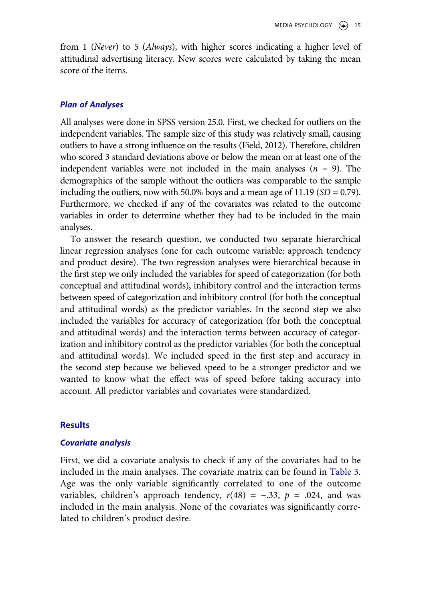from 1 (*Never*) to 5 (*Always*), with higher scores indicating a higher level of attitudinal advertising literacy. New scores were calculated by taking the mean score of the items.

#### *Plan of Analyses*

All analyses were done in SPSS version 25.0. First, we checked for outliers on the independent variables. The sample size of this study was relatively small, causing outliers to have a strong influence on the results (Field, 2012). Therefore, children who scored 3 standard deviations above or below the mean on at least one of the independent variables were not included in the main analyses  $(n = 9)$ . The demographics of the sample without the outliers was comparable to the sample including the outliers, now with 50.0% boys and a mean age of  $11.19$  (*SD* = 0.79). Furthermore, we checked if any of the covariates was related to the outcome variables in order to determine whether they had to be included in the main analyses.

To answer the research question, we conducted two separate hierarchical linear regression analyses (one for each outcome variable: approach tendency and product desire). The two regression analyses were hierarchical because in the first step we only included the variables for speed of categorization (for both conceptual and attitudinal words), inhibitory control and the interaction terms between speed of categorization and inhibitory control (for both the conceptual and attitudinal words) as the predictor variables. In the second step we also included the variables for accuracy of categorization (for both the conceptual and attitudinal words) and the interaction terms between accuracy of categorization and inhibitory control as the predictor variables (for both the conceptual and attitudinal words). We included speed in the first step and accuracy in the second step because we believed speed to be a stronger predictor and we wanted to know what the effect was of speed before taking accuracy into account. All predictor variables and covariates were standardized.

#### **Results**

#### *Covariate analysis*

First, we did a covariate analysis to check if any of the covariates had to be included in the main analyses. The covariate matrix can be found in [Table 3](#page-16-0). Age was the only variable significantly correlated to one of the outcome variables, children's approach tendency,  $r(48) = -.33$ ,  $p = .024$ , and was included in the main analysis. None of the covariates was significantly correlated to children's product desire.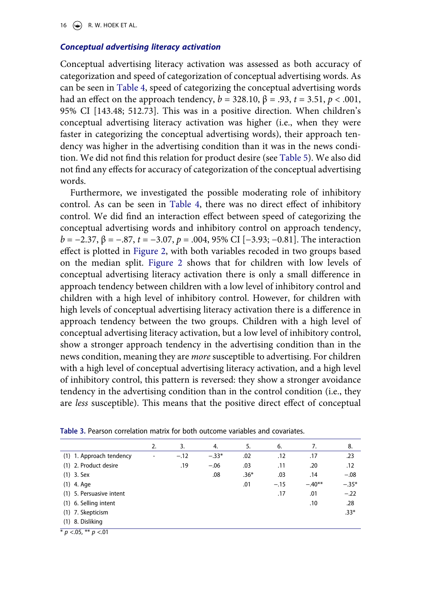16  $\left(\rightarrow\right)$  R. W. HOEK ET AL.

#### *Conceptual advertising literacy activation*

Conceptual advertising literacy activation was assessed as both accuracy of categorization and speed of categorization of conceptual advertising words. As can be seen in [Table 4,](#page-17-0) speed of categorizing the conceptual advertising words had an effect on the approach tendency,  $b = 328.10$ ,  $β = .93$ ,  $t = 3.51$ ,  $p < .001$ , 95% CI [143.48; 512.73]. This was in a positive direction. When children's conceptual advertising literacy activation was higher (i.e., when they were faster in categorizing the conceptual advertising words), their approach tendency was higher in the advertising condition than it was in the news condition. We did not find this relation for product desire (see [Table 5\)](#page-18-0). We also did not find any effects for accuracy of categorization of the conceptual advertising words.

Furthermore, we investigated the possible moderating role of inhibitory control. As can be seen in [Table 4,](#page-17-0) there was no direct effect of inhibitory control. We did find an interaction effect between speed of categorizing the conceptual advertising words and inhibitory control on approach tendency, *b* = −2.37, β = −.87, *t* = −3.07, *p* = .004, 95% CI [−3.93; −0.81]. The interaction effect is plotted in [Figure 2](#page-18-1), with both variables recoded in two groups based on the median split. [Figure 2](#page-18-1) shows that for children with low levels of conceptual advertising literacy activation there is only a small difference in approach tendency between children with a low level of inhibitory control and children with a high level of inhibitory control. However, for children with high levels of conceptual advertising literacy activation there is a difference in approach tendency between the two groups. Children with a high level of conceptual advertising literacy activation, but a low level of inhibitory control, show a stronger approach tendency in the advertising condition than in the news condition, meaning they are *more* susceptible to advertising. For children with a high level of conceptual advertising literacy activation, and a high level of inhibitory control, this pattern is reversed: they show a stronger avoidance tendency in the advertising condition than in the control condition (i.e., they are *less* susceptible). This means that the positive direct effect of conceptual

|                          | 2.                       | 3.     | 4.      | 5.     | 6.     | 7.       | 8.      |
|--------------------------|--------------------------|--------|---------|--------|--------|----------|---------|
| (1) 1. Approach tendency | $\overline{\phantom{a}}$ | $-.12$ | $-.33*$ | .02    | .12    | .17      | .23     |
| (1) 2. Product desire    |                          | .19    | $-.06$  | .03    | .11    | .20      | .12     |
| $(1)$ 3. Sex             |                          |        | .08     | $.36*$ | .03    | .14      | $-.08$  |
| $(1)$ 4. Age             |                          |        |         | .01    | $-.15$ | $-.40**$ | $-.35*$ |
| (1) 5. Persuasive intent |                          |        |         |        | .17    | .01      | $-.22$  |
| (1) 6. Selling intent    |                          |        |         |        |        | .10      | .28     |
| (1) 7. Skepticism        |                          |        |         |        |        |          | $.33*$  |
| (1) 8. Disliking         |                          |        |         |        |        |          |         |

<span id="page-16-0"></span>**Table 3.** Pearson correlation matrix for both outcome variables and covariates.

\* *p* <.05, \*\* *p* <.01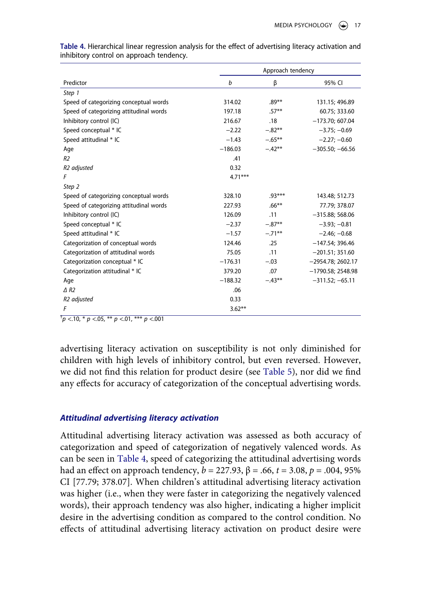|                                         | Approach tendency |           |                     |  |
|-----------------------------------------|-------------------|-----------|---------------------|--|
| Predictor                               | b                 | β         | 95% CI              |  |
| Step 1                                  |                   |           |                     |  |
| Speed of categorizing conceptual words  | 314.02            | $.89**$   | 131.15; 496.89      |  |
| Speed of categorizing attitudinal words | 197.18            | $.57***$  | 60.75; 333.60       |  |
| Inhibitory control (IC)                 | 216.67            | .18       | $-173.70; 607.04$   |  |
| Speed conceptual * IC                   | $-2.22$           | $-.82**$  | $-3.75; -0.69$      |  |
| Speed attitudinal * IC                  | $-1.43$           | $-.65***$ | $-2.27; -0.60$      |  |
| Age                                     | $-186.03$         | $-.42**$  | $-305.50; -66.56$   |  |
| R <sub>2</sub>                          | .41               |           |                     |  |
| R <sub>2</sub> adjusted                 | 0.32              |           |                     |  |
| F                                       | $4.71***$         |           |                     |  |
| Step 2                                  |                   |           |                     |  |
| Speed of categorizing conceptual words  | 328.10            | $.93***$  | 143.48; 512.73      |  |
| Speed of categorizing attitudinal words | 227.93            | $.66***$  | 77.79; 378.07       |  |
| Inhibitory control (IC)                 | 126.09            | .11       | $-315.88; 568.06$   |  |
| Speed conceptual * IC                   | $-2.37$           | $-.87**$  | $-3.93; -0.81$      |  |
| Speed attitudinal * IC                  | $-1.57$           | $-.71**$  | $-2.46: -0.68$      |  |
| Categorization of conceptual words      | 124.46            | .25       | $-147.54; 396.46$   |  |
| Categorization of attitudinal words     | 75.05             | .11       | $-201.51; 351.60$   |  |
| Categorization conceptual * IC          | $-176.31$         | $-.03$    | $-2954.78; 2602.17$ |  |
| Categorization attitudinal * IC         | 379.20            | .07       | $-1790.58; 2548.98$ |  |
| Age                                     | $-188.32$         | $-.43***$ | $-311.52; -65.11$   |  |
| $\triangle$ R <sub>2</sub>              | .06               |           |                     |  |
| R <sub>2</sub> adjusted                 | 0.33              |           |                     |  |
| F                                       | $3.62**$          |           |                     |  |

<span id="page-17-0"></span>**Table 4.** Hierarchical linear regression analysis for the effect of advertising literacy activation and inhibitory control on approach tendency.

† *p* <.10, \* *p* <.05, \*\* *p* <.01, \*\*\* *p* <.001

advertising literacy activation on susceptibility is not only diminished for children with high levels of inhibitory control, but even reversed. However, we did not find this relation for product desire (see [Table 5\)](#page-18-0), nor did we find any effects for accuracy of categorization of the conceptual advertising words.

# *Attitudinal advertising literacy activation*

Attitudinal advertising literacy activation was assessed as both accuracy of categorization and speed of categorization of negatively valenced words. As can be seen in [Table 4,](#page-17-0) speed of categorizing the attitudinal advertising words had an effect on approach tendency,  $b = 227.93$ ,  $β = .66$ ,  $t = 3.08$ ,  $p = .004$ , 95% CI [77.79; 378.07]. When children's attitudinal advertising literacy activation was higher (i.e., when they were faster in categorizing the negatively valenced words), their approach tendency was also higher, indicating a higher implicit desire in the advertising condition as compared to the control condition. No effects of attitudinal advertising literacy activation on product desire were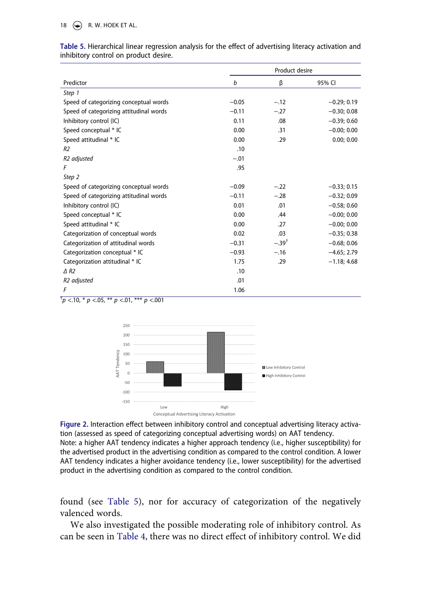18  $\left(\bigcirc\right)$  R. W. HOEK ET AL.

|                                         |         | Product desire |               |
|-----------------------------------------|---------|----------------|---------------|
| Predictor                               | b       | β              | 95% CI        |
| Step 1                                  |         |                |               |
| Speed of categorizing conceptual words  | $-0.05$ | $-.12$         | $-0.29; 0.19$ |
| Speed of categorizing attitudinal words | $-0.11$ | $-.27$         | $-0.30; 0.08$ |
| Inhibitory control (IC)                 | 0.11    | .08            | $-0.39; 0.60$ |
| Speed conceptual * IC                   | 0.00    | .31            | $-0.00; 0.00$ |
| Speed attitudinal * IC                  | 0.00    | .29            | 0.00; 0.00    |
| R <sub>2</sub>                          | .10     |                |               |
| R <sub>2</sub> adjusted                 | $-.01$  |                |               |
| F                                       | .95     |                |               |
| Step 2                                  |         |                |               |
| Speed of categorizing conceptual words  | $-0.09$ | $-.22$         | $-0.33; 0.15$ |
| Speed of categorizing attitudinal words | $-0.11$ | $-.28$         | $-0.32; 0.09$ |
| Inhibitory control (IC)                 | 0.01    | .01            | $-0.58; 0.60$ |
| Speed conceptual * IC                   | 0.00    | .44            | $-0.00; 0.00$ |
| Speed attitudinal * IC                  | 0.00    | .27            | $-0.00; 0.00$ |
| Categorization of conceptual words      | 0.02    | .03            | $-0.35; 0.38$ |
| Categorization of attitudinal words     | $-0.31$ | $-.39†$        | $-0.68; 0.06$ |
| Categorization conceptual * IC          | $-0.93$ | $-.16$         | $-4.65:2.79$  |
| Categorization attitudinal * IC         | 1.75    | .29            | $-1.18; 4.68$ |
| $\triangle$ R <sub>2</sub>              | .10     |                |               |
| R <sub>2</sub> adjusted                 | .01     |                |               |
| F                                       | 1.06    |                |               |

<span id="page-18-0"></span>**Table 5.** Hierarchical linear regression analysis for the effect of advertising literacy activation and inhibitory control on product desire.

<span id="page-18-1"></span>
$$
\tau_{p} < 10, \, \text{* } p < 05, \, \text{** } p < 01, \, \text{*** } p < 001
$$



**Figure 2.** Interaction effect between inhibitory control and conceptual advertising literacy activation (assessed as speed of categorizing conceptual advertising words) on AAT tendency. Note: a higher AAT tendency indicates a higher approach tendency (i.e., higher susceptibility) for the advertised product in the advertising condition as compared to the control condition. A lower AAT tendency indicates a higher avoidance tendency (i.e., lower susceptibility) for the advertised product in the advertising condition as compared to the control condition.

found (see [Table 5\)](#page-18-0), nor for accuracy of categorization of the negatively valenced words.

We also investigated the possible moderating role of inhibitory control. As can be seen in [Table 4,](#page-17-0) there was no direct effect of inhibitory control. We did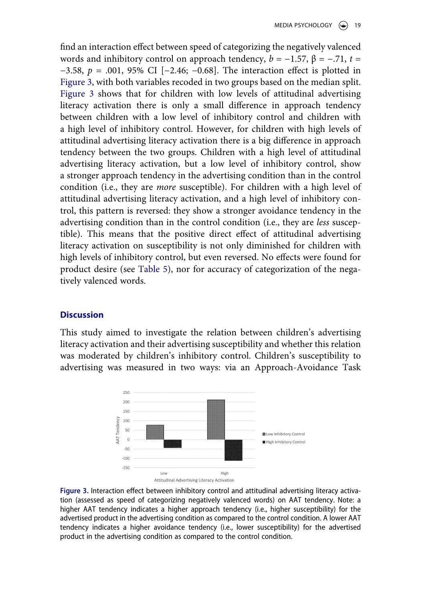find an interaction effect between speed of categorizing the negatively valenced words and inhibitory control on approach tendency,  $b = -1.57$ ,  $\beta = -.71$ ,  $t =$ −3.58, *p* = .001, 95% CI [−2.46; −0.68]. The interaction effect is plotted in [Figure 3,](#page-19-0) with both variables recoded in two groups based on the median split. [Figure 3](#page-19-0) shows that for children with low levels of attitudinal advertising literacy activation there is only a small difference in approach tendency between children with a low level of inhibitory control and children with a high level of inhibitory control. However, for children with high levels of attitudinal advertising literacy activation there is a big difference in approach tendency between the two groups. Children with a high level of attitudinal advertising literacy activation, but a low level of inhibitory control, show a stronger approach tendency in the advertising condition than in the control condition (i.e., they are *more* susceptible). For children with a high level of attitudinal advertising literacy activation, and a high level of inhibitory control, this pattern is reversed: they show a stronger avoidance tendency in the advertising condition than in the control condition (i.e., they are *less* susceptible). This means that the positive direct effect of attitudinal advertising literacy activation on susceptibility is not only diminished for children with high levels of inhibitory control, but even reversed. No effects were found for product desire (see [Table 5\)](#page-18-0), nor for accuracy of categorization of the negatively valenced words.

# **Discussion**

This study aimed to investigate the relation between children's advertising literacy activation and their advertising susceptibility and whether this relation was moderated by children's inhibitory control. Children's susceptibility to advertising was measured in two ways: via an Approach-Avoidance Task

<span id="page-19-0"></span>

**Figure 3.** Interaction effect between inhibitory control and attitudinal advertising literacy activation (assessed as speed of categorizing negatively valenced words) on AAT tendency. Note: a higher AAT tendency indicates a higher approach tendency (i.e., higher susceptibility) for the advertised product in the advertising condition as compared to the control condition. A lower AAT tendency indicates a higher avoidance tendency (i.e., lower susceptibility) for the advertised product in the advertising condition as compared to the control condition.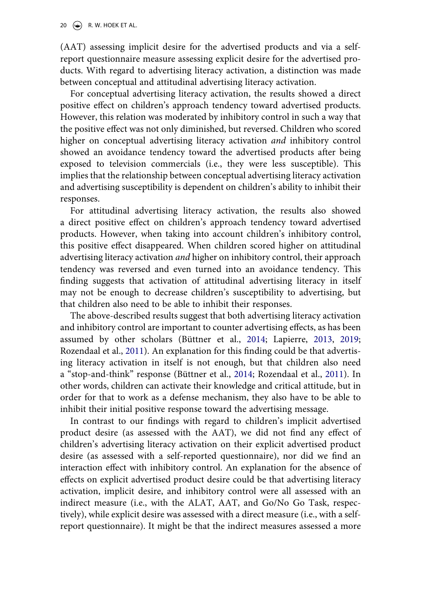(AAT) assessing implicit desire for the advertised products and via a selfreport questionnaire measure assessing explicit desire for the advertised products. With regard to advertising literacy activation, a distinction was made between conceptual and attitudinal advertising literacy activation.

For conceptual advertising literacy activation, the results showed a direct positive effect on children's approach tendency toward advertised products. However, this relation was moderated by inhibitory control in such a way that the positive effect was not only diminished, but reversed. Children who scored higher on conceptual advertising literacy activation *and* inhibitory control showed an avoidance tendency toward the advertised products after being exposed to television commercials (i.e., they were less susceptible). This implies that the relationship between conceptual advertising literacy activation and advertising susceptibility is dependent on children's ability to inhibit their responses.

For attitudinal advertising literacy activation, the results also showed a direct positive effect on children's approach tendency toward advertised products. However, when taking into account children's inhibitory control, this positive effect disappeared. When children scored higher on attitudinal advertising literacy activation *and* higher on inhibitory control, their approach tendency was reversed and even turned into an avoidance tendency. This finding suggests that activation of attitudinal advertising literacy in itself may not be enough to decrease children's susceptibility to advertising, but that children also need to be able to inhibit their responses.

The above-described results suggest that both advertising literacy activation and inhibitory control are important to counter advertising effects, as has been assumed by other scholars (Büttner et al., [2014;](#page-26-3) Lapierre, [2013,](#page-27-4) [2019](#page-28-3); Rozendaal et al., [2011](#page-29-0)). An explanation for this finding could be that advertising literacy activation in itself is not enough, but that children also need a "stop-and-think" response (Büttner et al., [2014](#page-26-3); Rozendaal et al., [2011](#page-29-0)). In other words, children can activate their knowledge and critical attitude, but in order for that to work as a defense mechanism, they also have to be able to inhibit their initial positive response toward the advertising message.

In contrast to our findings with regard to children's implicit advertised product desire (as assessed with the AAT), we did not find any effect of children's advertising literacy activation on their explicit advertised product desire (as assessed with a self-reported questionnaire), nor did we find an interaction effect with inhibitory control. An explanation for the absence of effects on explicit advertised product desire could be that advertising literacy activation, implicit desire, and inhibitory control were all assessed with an indirect measure (i.e., with the ALAT, AAT, and Go/No Go Task, respectively), while explicit desire was assessed with a direct measure (i.e., with a selfreport questionnaire). It might be that the indirect measures assessed a more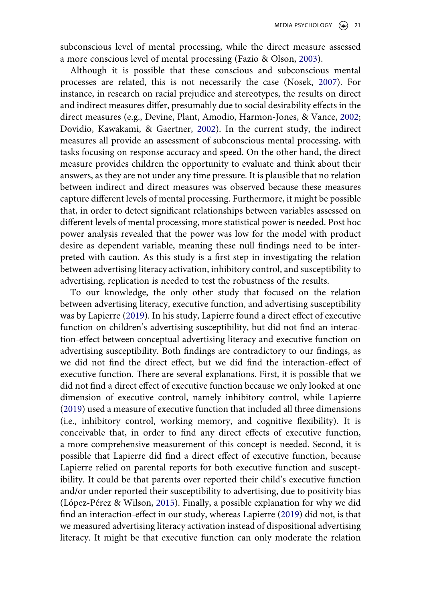subconscious level of mental processing, while the direct measure assessed a more conscious level of mental processing (Fazio & Olson, [2003](#page-27-8)).

<span id="page-21-3"></span><span id="page-21-1"></span><span id="page-21-0"></span>Although it is possible that these conscious and subconscious mental processes are related, this is not necessarily the case (Nosek, [2007](#page-28-11)). For instance, in research on racial prejudice and stereotypes, the results on direct and indirect measures differ, presumably due to social desirability effects in the direct measures (e.g., Devine, Plant, Amodio, Harmon-Jones, & Vance, [2002](#page-26-15); Dovidio, Kawakami, & Gaertner, [2002](#page-27-12)). In the current study, the indirect measures all provide an assessment of subconscious mental processing, with tasks focusing on response accuracy and speed. On the other hand, the direct measure provides children the opportunity to evaluate and think about their answers, as they are not under any time pressure. It is plausible that no relation between indirect and direct measures was observed because these measures capture different levels of mental processing. Furthermore, it might be possible that, in order to detect significant relationships between variables assessed on different levels of mental processing, more statistical power is needed. Post hoc power analysis revealed that the power was low for the model with product desire as dependent variable, meaning these null findings need to be interpreted with caution. As this study is a first step in investigating the relation between advertising literacy activation, inhibitory control, and susceptibility to advertising, replication is needed to test the robustness of the results.

<span id="page-21-2"></span>To our knowledge, the only other study that focused on the relation between advertising literacy, executive function, and advertising susceptibility was by Lapierre ([2019\)](#page-28-3). In his study, Lapierre found a direct effect of executive function on children's advertising susceptibility, but did not find an interaction-effect between conceptual advertising literacy and executive function on advertising susceptibility. Both findings are contradictory to our findings, as we did not find the direct effect, but we did find the interaction-effect of executive function. There are several explanations. First, it is possible that we did not find a direct effect of executive function because we only looked at one dimension of executive control, namely inhibitory control, while Lapierre ([2019](#page-28-3)) used a measure of executive function that included all three dimensions (i.e., inhibitory control, working memory, and cognitive flexibility). It is conceivable that, in order to find any direct effects of executive function, a more comprehensive measurement of this concept is needed. Second, it is possible that Lapierre did find a direct effect of executive function, because Lapierre relied on parental reports for both executive function and susceptibility. It could be that parents over reported their child's executive function and/or under reported their susceptibility to advertising, due to positivity bias (López-Pérez & Wilson, [2015\)](#page-28-12). Finally, a possible explanation for why we did find an interaction-effect in our study, whereas Lapierre [\(2019](#page-28-3)) did not, is that we measured advertising literacy activation instead of dispositional advertising literacy. It might be that executive function can only moderate the relation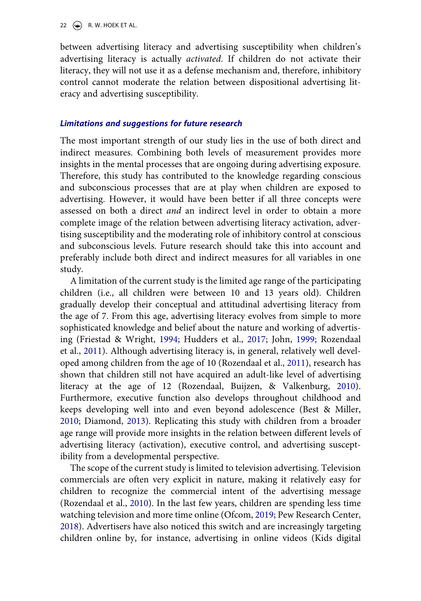between advertising literacy and advertising susceptibility when children's advertising literacy is actually *activated*. If children do not activate their literacy, they will not use it as a defense mechanism and, therefore, inhibitory control cannot moderate the relation between dispositional advertising literacy and advertising susceptibility.

#### *Limitations and suggestions for future research*

The most important strength of our study lies in the use of both direct and indirect measures. Combining both levels of measurement provides more insights in the mental processes that are ongoing during advertising exposure. Therefore, this study has contributed to the knowledge regarding conscious and subconscious processes that are at play when children are exposed to advertising. However, it would have been better if all three concepts were assessed on both a direct *and* an indirect level in order to obtain a more complete image of the relation between advertising literacy activation, advertising susceptibility and the moderating role of inhibitory control at conscious and subconscious levels. Future research should take this into account and preferably include both direct and indirect measures for all variables in one study.

A limitation of the current study is the limited age range of the participating children (i.e., all children were between 10 and 13 years old). Children gradually develop their conceptual and attitudinal advertising literacy from the age of 7. From this age, advertising literacy evolves from simple to more sophisticated knowledge and belief about the nature and working of advertising (Friestad & Wright, [1994;](#page-27-6) Hudders et al., [2017](#page-27-2); John, [1999;](#page-27-0) Rozendaal et al., [2011](#page-29-0)). Although advertising literacy is, in general, relatively well developed among children from the age of 10 (Rozendaal et al., [2011\)](#page-29-0), research has shown that children still not have acquired an adult-like level of advertising literacy at the age of 12 (Rozendaal, Buijzen, & Valkenburg, [2010](#page-29-13)). Furthermore, executive function also develops throughout childhood and keeps developing well into and even beyond adolescence (Best & Miller, [2010](#page-26-11); Diamond, [2013](#page-27-5)). Replicating this study with children from a broader age range will provide more insights in the relation between different levels of advertising literacy (activation), executive control, and advertising susceptibility from a developmental perspective.

<span id="page-22-1"></span><span id="page-22-0"></span>The scope of the current study is limited to television advertising. Television commercials are often very explicit in nature, making it relatively easy for children to recognize the commercial intent of the advertising message (Rozendaal et al., [2010\)](#page-29-13). In the last few years, children are spending less time watching television and more time online (Ofcom, [2019;](#page-28-13) Pew Research Center, [2018](#page-28-14)). Advertisers have also noticed this switch and are increasingly targeting children online by, for instance, advertising in online videos (Kids digital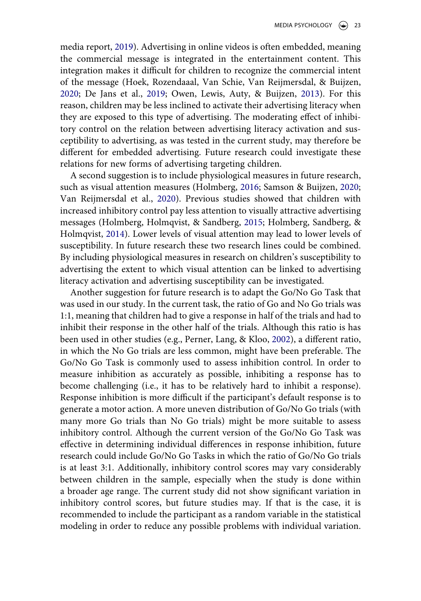<span id="page-23-4"></span><span id="page-23-3"></span><span id="page-23-0"></span>media report, [2019](#page-27-13)). Advertising in online videos is often embedded, meaning the commercial message is integrated in the entertainment content. This integration makes it difficult for children to recognize the commercial intent of the message (Hoek, Rozendaaal, Van Schie, Van Reijmersdal, & Buijzen, [2020](#page-27-14); De Jans et al., [2019;](#page-26-7) Owen, Lewis, Auty, & Buijzen, [2013](#page-28-15)). For this reason, children may be less inclined to activate their advertising literacy when they are exposed to this type of advertising. The moderating effect of inhibitory control on the relation between advertising literacy activation and susceptibility to advertising, as was tested in the current study, may therefore be different for embedded advertising. Future research could investigate these relations for new forms of advertising targeting children.

<span id="page-23-7"></span><span id="page-23-6"></span><span id="page-23-2"></span><span id="page-23-1"></span>A second suggestion is to include physiological measures in future research, such as visual attention measures (Holmberg, [2016;](#page-27-10) Samson & Buijzen, [2020](#page-29-14); Van Reijmersdal et al., [2020](#page-29-15)). Previous studies showed that children with increased inhibitory control pay less attention to visually attractive advertising messages (Holmberg, Holmqvist, & Sandberg, [2015](#page-27-15); Holmberg, Sandberg, & Holmqvist, [2014\)](#page-27-16). Lower levels of visual attention may lead to lower levels of susceptibility. In future research these two research lines could be combined. By including physiological measures in research on children's susceptibility to advertising the extent to which visual attention can be linked to advertising literacy activation and advertising susceptibility can be investigated.

<span id="page-23-5"></span>Another suggestion for future research is to adapt the Go/No Go Task that was used in our study. In the current task, the ratio of Go and No Go trials was 1:1, meaning that children had to give a response in half of the trials and had to inhibit their response in the other half of the trials. Although this ratio is has been used in other studies (e.g., Perner, Lang, & Kloo, [2002\)](#page-28-16), a different ratio, in which the No Go trials are less common, might have been preferable. The Go/No Go Task is commonly used to assess inhibition control. In order to measure inhibition as accurately as possible, inhibiting a response has to become challenging (i.e., it has to be relatively hard to inhibit a response). Response inhibition is more difficult if the participant's default response is to generate a motor action. A more uneven distribution of Go/No Go trials (with many more Go trials than No Go trials) might be more suitable to assess inhibitory control. Although the current version of the Go/No Go Task was effective in determining individual differences in response inhibition, future research could include Go/No Go Tasks in which the ratio of Go/No Go trials is at least 3:1. Additionally, inhibitory control scores may vary considerably between children in the sample, especially when the study is done within a broader age range. The current study did not show significant variation in inhibitory control scores, but future studies may. If that is the case, it is recommended to include the participant as a random variable in the statistical modeling in order to reduce any possible problems with individual variation.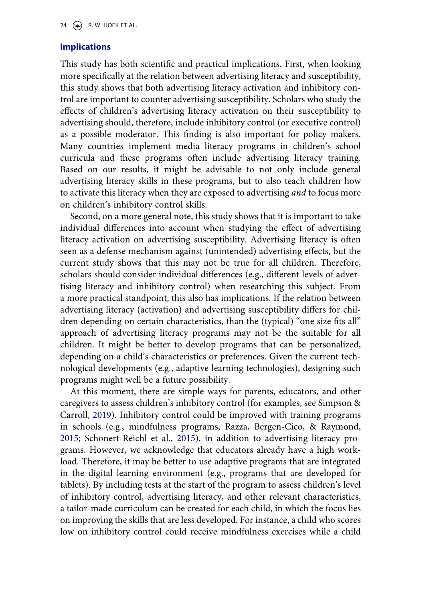### **Implications**

This study has both scientific and practical implications. First, when looking more specifically at the relation between advertising literacy and susceptibility, this study shows that both advertising literacy activation and inhibitory control are important to counter advertising susceptibility. Scholars who study the effects of children's advertising literacy activation on their susceptibility to advertising should, therefore, include inhibitory control (or executive control) as a possible moderator. This finding is also important for policy makers. Many countries implement media literacy programs in children's school curricula and these programs often include advertising literacy training. Based on our results, it might be advisable to not only include general advertising literacy skills in these programs, but to also teach children how to activate this literacy when they are exposed to advertising *and* to focus more on children's inhibitory control skills.

Second, on a more general note, this study shows that it is important to take individual differences into account when studying the effect of advertising literacy activation on advertising susceptibility. Advertising literacy is often seen as a defense mechanism against (unintended) advertising effects, but the current study shows that this may not be true for all children. Therefore, scholars should consider individual differences (e.g., different levels of advertising literacy and inhibitory control) when researching this subject. From a more practical standpoint, this also has implications. If the relation between advertising literacy (activation) and advertising susceptibility differs for children depending on certain characteristics, than the (typical) "one size fits all" approach of advertising literacy programs may not be the suitable for all children. It might be better to develop programs that can be personalized, depending on a child's characteristics or preferences. Given the current technological developments (e.g., adaptive learning technologies), designing such programs might well be a future possibility.

<span id="page-24-1"></span><span id="page-24-0"></span>At this moment, there are simple ways for parents, educators, and other caregivers to assess children's inhibitory control (for examples, see Simpson & Carroll, [2019](#page-29-11)). Inhibitory control could be improved with training programs in schools (e.g., mindfulness programs, Razza, Bergen-Cico, & Raymond, [2015](#page-28-17); Schonert-Reichl et al., [2015\)](#page-29-16), in addition to advertising literacy programs. However, we acknowledge that educators already have a high workload. Therefore, it may be better to use adaptive programs that are integrated in the digital learning environment (e.g., programs that are developed for tablets). By including tests at the start of the program to assess children's level of inhibitory control, advertising literacy, and other relevant characteristics, a tailor-made curriculum can be created for each child, in which the focus lies on improving the skills that are less developed. For instance, a child who scores low on inhibitory control could receive mindfulness exercises while a child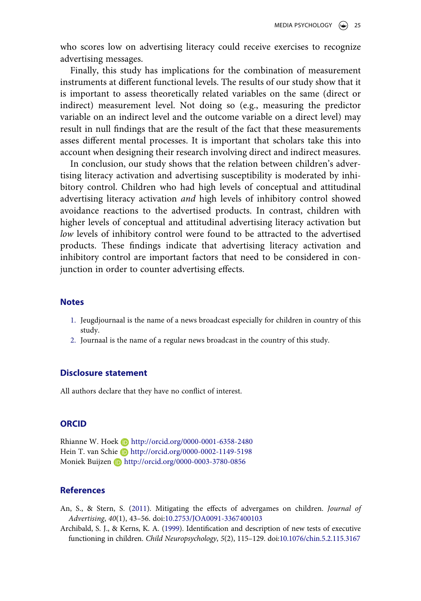who scores low on advertising literacy could receive exercises to recognize advertising messages.

Finally, this study has implications for the combination of measurement instruments at different functional levels. The results of our study show that it is important to assess theoretically related variables on the same (direct or indirect) measurement level. Not doing so (e.g., measuring the predictor variable on an indirect level and the outcome variable on a direct level) may result in null findings that are the result of the fact that these measurements asses different mental processes. It is important that scholars take this into account when designing their research involving direct and indirect measures.

In conclusion, our study shows that the relation between children's advertising literacy activation and advertising susceptibility is moderated by inhibitory control. Children who had high levels of conceptual and attitudinal advertising literacy activation *and* high levels of inhibitory control showed avoidance reactions to the advertised products. In contrast, children with higher levels of conceptual and attitudinal advertising literacy activation but *low* levels of inhibitory control were found to be attracted to the advertised products. These findings indicate that advertising literacy activation and inhibitory control are important factors that need to be considered in conjunction in order to counter advertising effects.

#### **Notes**

- <span id="page-25-1"></span>1. Jeugdjournaal is the name of a news broadcast especially for children in country of this study.
- <span id="page-25-2"></span>2. Journaal is the name of a regular news broadcast in the country of this study.

#### **Disclosure statement**

All authors declare that they have no conflict of interest.

#### **ORCID**

Rhianne W. Hoek **b** http://orcid.org/0000-0001-6358-2480 Hein T. van Schie D http://orcid.org/0000-0002-1149-5198 Moniek Buijzen D http://orcid.org/0000-0003-3780-0856

#### **References**

- <span id="page-25-0"></span>An, S., & Stern, S. ([2011\)](#page-4-0). Mitigating the effects of advergames on children. *Journal of Advertising*, *40*(1), 43–56. doi:[10.2753/JOA0091-3367400103](https://doi.org/10.2753/JOA0091-3367400103)
- <span id="page-25-3"></span>Archibald, S. J., & Kerns, K. A. [\(1999\)](#page-11-0). Identification and description of new tests of executive functioning in children. *Child Neuropsychology*, *5*(2), 115–129. doi:[10.1076/chin.5.2.115.3167](https://doi.org/10.1076/chin.5.2.115.3167)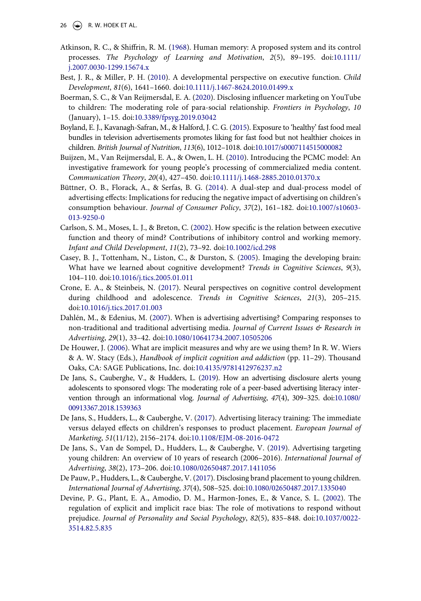- 26  $\left(\bigcirc\right)$  R. W. HOEK ET AL.
- <span id="page-26-5"></span>Atkinson, R. C., & Shiffrin, R. M. [\(1968](#page-3-0)). Human memory: A proposed system and its control processes. *The Psychology of Learning and Motivation*, *2*(5), 89–195. doi:[10.1111/](https://doi.org/10.1111/j.2007.0030-1299.15674.x)  [j.2007.0030-1299.15674.x](https://doi.org/10.1111/j.2007.0030-1299.15674.x)
- <span id="page-26-11"></span>Best, J. R., & Miller, P. H. ([2010](#page-6-0)). A developmental perspective on executive function. *Child Development*, *81*(6), 1641–1660. doi:[10.1111/j.1467-8624.2010.01499.x](https://doi.org/10.1111/j.1467-8624.2010.01499.x)
- <span id="page-26-8"></span>Boerman, S. C., & Van Reijmersdal, E. A. ([2020](#page-4-0)). Disclosing influencer marketing on YouTube to children: The moderating role of para-social relationship. *Frontiers in Psychology*, *10*  (January), 1–15. doi:[10.3389/fpsyg.2019.03042](https://doi.org/10.3389/fpsyg.2019.03042)
- <span id="page-26-14"></span>Boyland, E. J., Kavanagh-Safran, M., & Halford, J. C. G. [\(2015](#page-9-0)). Exposure to 'healthy' fast food meal bundles in television advertisements promotes liking for fast food but not healthier choices in children. *British Journal of Nutrition*, *113*(6), 1012–1018. doi:[10.1017/s0007114515000082](https://doi.org/10.1017/s0007114515000082)
- <span id="page-26-13"></span>Buijzen, M., Van Reijmersdal, E. A., & Owen, L. H. ([2010](#page-6-1)). Introducing the PCMC model: An investigative framework for young people's processing of commercialized media content. *Communication Theory*, *20*(4), 427–450. doi:[10.1111/j.1468-2885.2010.01370.x](https://doi.org/10.1111/j.1468-2885.2010.01370.x)
- <span id="page-26-3"></span>Büttner, O. B., Florack, A., & Serfas, B. G. [\(2014\)](#page-2-0). A dual-step and dual-process model of advertising effects: Implications for reducing the negative impact of advertising on children's consumption behaviour. *Journal of Consumer Policy*, *37*(2), 161–182. doi:[10.1007/s10603-](https://doi.org/10.1007/s10603-013-9250-0)  [013-9250-0](https://doi.org/10.1007/s10603-013-9250-0)
- <span id="page-26-10"></span>Carlson, S. M., Moses, L. J., & Breton, C. [\(2002\)](#page-6-2). How specific is the relation between executive function and theory of mind? Contributions of inhibitory control and working memory. *Infant and Child Development*, *11*(2), 73–92. doi:[10.1002/icd.298](https://doi.org/10.1002/icd.298)
- <span id="page-26-6"></span>Casey, B. J., Tottenham, N., Liston, C., & Durston, S. [\(2005\)](#page-3-1). Imaging the developing brain: What have we learned about cognitive development? *Trends in Cognitive Sciences*, *9*(3), 104–110. doi:[10.1016/j.tics.2005.01.011](https://doi.org/10.1016/j.tics.2005.01.011)
- <span id="page-26-12"></span>Crone, E. A., & Steinbeis, N. ([2017\)](#page-6-3). Neural perspectives on cognitive control development during childhood and adolescence. *Trends in Cognitive Sciences*, *21*(3), 205–215. doi:[10.1016/j.tics.2017.01.003](https://doi.org/10.1016/j.tics.2017.01.003)
- <span id="page-26-4"></span>Dahlén, M., & Edenius, M. [\(2007\)](#page-3-2). When is advertising advertising? Comparing responses to non-traditional and traditional advertising media. *Journal of Current Issues & Research in Advertising*, *29*(1), 33–42. doi:[10.1080/10641734.2007.10505206](https://doi.org/10.1080/10641734.2007.10505206)
- <span id="page-26-9"></span>De Houwer, J. ([2006\)](#page-5-0). What are implicit measures and why are we using them? In R. W. Wiers & A. W. Stacy (Eds.), *Handbook of implicit cognition and addiction* (pp. 11–29). Thousand Oaks, CA: SAGE Publications, Inc. doi:[10.4135/9781412976237.n2](https://doi.org/10.4135/9781412976237.n2)
- <span id="page-26-7"></span>De Jans, S., Cauberghe, V., & Hudders, L. ([2019](#page-4-1)). How an advertising disclosure alerts young adolescents to sponsored vlogs: The moderating role of a peer-based advertising literacy intervention through an informational vlog. *Journal of Advertising*, *47*(4), 309–325. doi:[10.1080/](https://doi.org/10.1080/00913367.2018.1539363)  [00913367.2018.1539363](https://doi.org/10.1080/00913367.2018.1539363)
- <span id="page-26-1"></span>De Jans, S., Hudders, L., & Cauberghe, V. ([2017](#page-2-1)). Advertising literacy training: The immediate versus delayed effects on children's responses to product placement. *European Journal of Marketing*, *51*(11/12), 2156–2174. doi:[10.1108/EJM-08-2016-0472](https://doi.org/10.1108/EJM-08-2016-0472)
- <span id="page-26-0"></span>De Jans, S., Van de Sompel, D., Hudders, L., & Cauberghe, V. [\(2019](#page-1-1)). Advertising targeting young children: An overview of 10 years of research (2006–2016). *International Journal of Advertising*, *38*(2), 173–206. doi:[10.1080/02650487.2017.1411056](https://doi.org/10.1080/02650487.2017.1411056)
- <span id="page-26-2"></span>De Pauw, P., Hudders, L., & Cauberghe, V. [\(2017](#page-2-2)). Disclosing brand placement to young children. *International Journal of Advertising*, *37*(4), 508–525. doi:[10.1080/02650487.2017.1335040](https://doi.org/10.1080/02650487.2017.1335040)
- <span id="page-26-15"></span>Devine, P. G., Plant, E. A., Amodio, D. M., Harmon-Jones, E., & Vance, S. L. ([2002\)](#page-21-0). The regulation of explicit and implicit race bias: The role of motivations to respond without prejudice. *Journal of Personality and Social Psychology*, *82*(5), 835–848. doi:[10.1037/0022-](https://doi.org/10.1037/0022-3514.82.5.835)  [3514.82.5.835](https://doi.org/10.1037/0022-3514.82.5.835)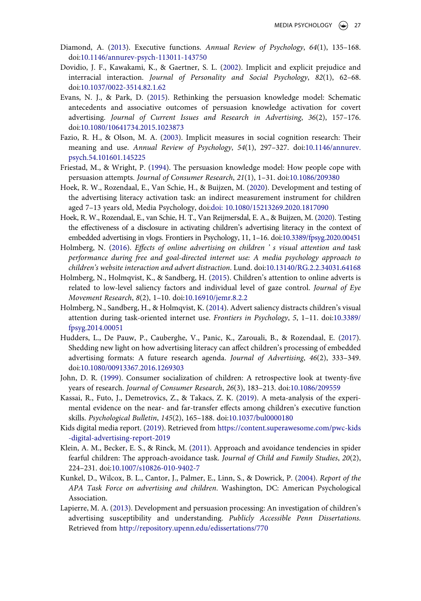- <span id="page-27-5"></span>Diamond, A. [\(2013\)](#page-2-3). Executive functions. *Annual Review of Psychology*, *64*(1), 135–168. doi:[10.1146/annurev-psych-113011-143750](https://doi.org/10.1146/annurev-psych-113011-143750)
- <span id="page-27-12"></span>Dovidio, J. F., Kawakami, K., & Gaertner, S. L. [\(2002](#page-21-1)). Implicit and explicit prejudice and interracial interaction. *Journal of Personality and Social Psychology*, *82*(1), 62–68. doi:[10.1037/0022-3514.82.1.62](https://doi.org/10.1037/0022-3514.82.1.62)
- <span id="page-27-7"></span>Evans, N. J., & Park, D. [\(2015\)](#page-3-2). Rethinking the persuasion knowledge model: Schematic antecedents and associative outcomes of persuasion knowledge activation for covert advertising. *Journal of Current Issues and Research in Advertising*, *36*(2), 157–176. doi:[10.1080/10641734.2015.1023873](https://doi.org/10.1080/10641734.2015.1023873)
- <span id="page-27-8"></span>Fazio, R. H., & Olson, M. A. [\(2003\)](#page-5-1). Implicit measures in social cognition research: Their meaning and use. *Annual Review of Psychology*, *54*(1), 297–327. doi:[10.1146/annurev.](https://doi.org/10.1146/annurev.psych.54.101601.145225) [psych.54.101601.145225](https://doi.org/10.1146/annurev.psych.54.101601.145225)
- <span id="page-27-6"></span>Friestad, M., & Wright, P. ([1994\)](#page-3-3). The persuasion knowledge model: How people cope with persuasion attempts. *Journal of Consumer Research*, *21*(1), 1–31. doi:[10.1086/209380](https://doi.org/10.1086/209380)
- <span id="page-27-3"></span>Hoek, R. W., Rozendaal, E., Van Schie, H., & Buijzen, M. ([2020\)](#page-2-4). Development and testing of the advertising literacy activation task: an indirect measurement instrument for children aged 7–13 years old, Media Psychology, doi:[doi: 10.1080/15213269.2020.1817090](https://doi.org/doi: 10.1080/15213269.2020.1817090)
- <span id="page-27-14"></span>Hoek, R. W., Rozendaal, E., van Schie, H. T., Van Reijmersdal, E. A., & Buijzen, M. [\(2020](#page-23-0)). Testing the effectiveness of a disclosure in activating children's advertising literacy in the context of embedded advertising in vlogs. Frontiers in Psychology, 11, 1–16. doi:[10.3389/fpsyg.2020.00451](https://doi.org/10.3389/fpsyg.2020.00451)
- <span id="page-27-10"></span>Holmberg, N. ([2016\)](#page-6-4). *Effects of online advertising on children ' s visual attention and task performance during free and goal-directed internet use: A media psychology approach to children's website interaction and advert distraction*. Lund. doi:[10.13140/RG.2.2.34031.64168](https://doi.org/10.13140/RG.2.2.34031.64168)
- <span id="page-27-15"></span>Holmberg, N., Holmqvist, K., & Sandberg, H. [\(2015](#page-23-1)). Children's attention to online adverts is related to low-level saliency factors and individual level of gaze control. *Journal of Eye Movement Research*, *8*(2), 1–10. doi:[10.16910/jemr.8.2.2](https://doi.org/10.16910/jemr.8.2.2)
- <span id="page-27-16"></span>Holmberg, N., Sandberg, H., & Holmqvist, K. ([2014](#page-23-2)). Advert saliency distracts children's visual attention during task-oriented internet use. *Frontiers in Psychology*, *5*, 1–11. doi:[10.3389/](https://doi.org/10.3389/fpsyg.2014.00051) [fpsyg.2014.00051](https://doi.org/10.3389/fpsyg.2014.00051)
- <span id="page-27-2"></span>Hudders, L., De Pauw, P., Cauberghe, V., Panic, K., Zarouali, B., & Rozendaal, E. [\(2017\)](#page-2-5). Shedding new light on how advertising literacy can affect children's processing of embedded advertising formats: A future research agenda. *Journal of Advertising*, *46*(2), 333–349. doi:[10.1080/00913367.2016.1269303](https://doi.org/10.1080/00913367.2016.1269303)
- <span id="page-27-0"></span>John, D. R. ([1999\)](#page-1-1). Consumer socialization of children: A retrospective look at twenty-five years of research. *Journal of Consumer Research*, *26*(3), 183–213. doi:[10.1086/209559](https://doi.org/10.1086/209559)
- <span id="page-27-9"></span>Kassai, R., Futo, J., Demetrovics, Z., & Takacs, Z. K. ([2019](#page-5-2)). A meta-analysis of the experimental evidence on the near- and far-transfer effects among children's executive function skills. *Psychological Bulletin*, *145*(2), 165–188. doi:[10.1037/bul0000180](https://doi.org/10.1037/bul0000180)
- <span id="page-27-13"></span>Kids digital media report. ([2019](#page-23-3)). Retrieved from [https://content.superawesome.com/pwc-kids](https://content.superawesome.com/pwc-kids-digital-advertising-report-2019) [-digital-advertising-report-2019](https://content.superawesome.com/pwc-kids-digital-advertising-report-2019)
- <span id="page-27-11"></span>Klein, A. M., Becker, E. S., & Rinck, M. ([2011\)](#page-8-1). Approach and avoidance tendencies in spider fearful children: The approach-avoidance task. *Journal of Child and Family Studies*, *20*(2), 224–231. doi:[10.1007/s10826-010-9402-7](https://doi.org/10.1007/s10826-010-9402-7)
- <span id="page-27-1"></span>Kunkel, D., Wilcox, B. L., Cantor, J., Palmer, E., Linn, S., & Dowrick, P. [\(2004\)](#page-1-1). *Report of the APA Task Force on advertising and children*. Washington, DC: American Psychological Association.
- <span id="page-27-4"></span>Lapierre, M. A. [\(2013](#page-2-6)). Development and persuasion processing: An investigation of children's advertising susceptibility and understanding. *Publicly Accessible Penn Dissertations*. Retrieved from <http://repository.upenn.edu/edissertations/770>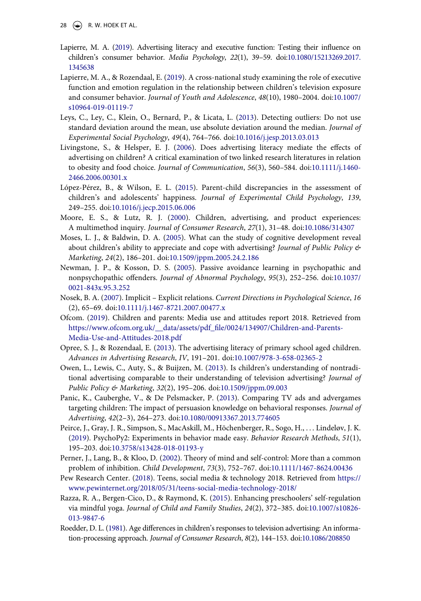28  $\left(\bigcirc\right)$  R. W. HOEK ET AL.

- <span id="page-28-3"></span>Lapierre, M. A. ([2019](#page-2-0)). Advertising literacy and executive function: Testing their influence on children's consumer behavior. *Media Psychology*, *22*(1), 39–59. doi:[10.1080/15213269.2017.](https://doi.org/10.1080/15213269.2017.1345638)  [1345638](https://doi.org/10.1080/15213269.2017.1345638)
- <span id="page-28-4"></span>Lapierre, M. A., & Rozendaal, E. ([2019\)](#page-2-7). A cross-national study examining the role of executive function and emotion regulation in the relationship between children's television exposure and consumer behavior. *Journal of Youth and Adolescence*, *48*(10), 1980–2004. doi:[10.1007/](https://doi.org/10.1007/s10964-019-01119-7) [s10964-019-01119-7](https://doi.org/10.1007/s10964-019-01119-7)
- <span id="page-28-9"></span>Leys, C., Ley, C., Klein, O., Bernard, P., & Licata, L. ([2013\)](#page-11-1). Detecting outliers: Do not use standard deviation around the mean, use absolute deviation around the median. *Journal of Experimental Social Psychology*, *49*(4), 764–766. doi:[10.1016/j.jesp.2013.03.013](https://doi.org/10.1016/j.jesp.2013.03.013)
- <span id="page-28-0"></span>Livingstone, S., & Helsper, E. J. [\(2006](#page-1-2)). Does advertising literacy mediate the effects of advertising on children? A critical examination of two linked research literatures in relation to obesity and food choice. *Journal of Communication*, *56*(3), 560–584. doi:[10.1111/j.1460-](https://doi.org/10.1111/j.1460-2466.2006.00301.x)  [2466.2006.00301.x](https://doi.org/10.1111/j.1460-2466.2006.00301.x)
- <span id="page-28-12"></span>López-Pérez, B., & Wilson, E. L. [\(2015](#page-21-2)). Parent-child discrepancies in the assessment of children's and adolescents' happiness. *Journal of Experimental Child Psychology*, *139*, 249–255. doi:[10.1016/j.jecp.2015.06.006](https://doi.org/10.1016/j.jecp.2015.06.006)
- <span id="page-28-7"></span>Moore, E. S., & Lutz, R. J. [\(2000](#page-9-1)). Children, advertising, and product experiences: A multimethod inquiry. *Journal of Consumer Research*, *27*(1), 31–48. doi:[10.1086/314307](https://doi.org/10.1086/314307)
- <span id="page-28-5"></span>Moses, L. J., & Baldwin, D. A. ([2005\)](#page-2-7). What can the study of cognitive development reveal about children's ability to appreciate and cope with advertising? *Journal of Public Policy & Marketing*, *24*(2), 186–201. doi:[10.1509/jppm.2005.24.2.186](https://doi.org/10.1509/jppm.2005.24.2.186)
- <span id="page-28-10"></span>Newman, J. P., & Kosson, D. S. [\(2005\)](#page-11-2). Passive avoidance learning in psychopathic and nonpsychopathic offenders. *Journal of Abnormal Psychology*, *95*(3), 252–256. doi:[10.1037/](https://doi.org/10.1037/0021-843x.95.3.252) [0021-843x.95.3.252](https://doi.org/10.1037/0021-843x.95.3.252)
- <span id="page-28-11"></span>Nosek, B. A. [\(2007](#page-21-3)). Implicit – Explicit relations. *Current Directions in Psychological Science*, *16*  (2), 65–69. doi:[10.1111/j.1467-8721.2007.00477.x](https://doi.org/10.1111/j.1467-8721.2007.00477.x)
- <span id="page-28-13"></span>Ofcom. [\(2019\)](#page-22-0). Children and parents: Media use and attitudes report 2018. Retrieved from [https://www.ofcom.org.uk/\\_\\_data/assets/pdf\\_file/0024/134907/Children-and-Parents-](https://www.ofcom.org.uk/__data/assets/pdf_file/0024/134907/Children-and-Parents-Media-Use-and-Attitudes-2018.pdf)[Media-Use-and-Attitudes-2018.pdf](https://www.ofcom.org.uk/__data/assets/pdf_file/0024/134907/Children-and-Parents-Media-Use-and-Attitudes-2018.pdf)
- <span id="page-28-1"></span>Opree, S. J., & Rozendaal, E. [\(2013](#page-2-5)). The advertising literacy of primary school aged children. *Advances in Advertising Research*, *IV*, 191–201. doi:[10.1007/978-3-658-02365-2](https://doi.org/10.1007/978-3-658-02365-2)
- <span id="page-28-15"></span>Owen, L., Lewis, C., Auty, S., & Buijzen, M. [\(2013](#page-23-4)). Is children's understanding of nontraditional advertising comparable to their understanding of television advertising? *Journal of Public Policy & Marketing*, *32*(2), 195–206. doi:[10.1509/jppm.09.003](https://doi.org/10.1509/jppm.09.003)
- <span id="page-28-2"></span>Panic, K., Cauberghe, V., & De Pelsmacker, P. ([2013\)](#page-2-8). Comparing TV ads and advergames targeting children: The impact of persuasion knowledge on behavioral responses. *Journal of Advertising*, *42*(2–3), 264–273. doi:[10.1080/00913367.2013.774605](https://doi.org/10.1080/00913367.2013.774605)
- <span id="page-28-8"></span>Peirce, J., Gray, J. R., Simpson, S., MacAskill, M., Höchenberger, R., Sogo, H., . . . Lindeløv, J. K. [\(2019\)](#page-10-1). PsychoPy2: Experiments in behavior made easy. *Behavior Research Methods*, *51*(1), 195–203. doi:[10.3758/s13428-018-01193-y](https://doi.org/10.3758/s13428-018-01193-y)
- <span id="page-28-16"></span>Perner, J., Lang, B., & Kloo, D. [\(2002\)](#page-23-5). Theory of mind and self-control: More than a common problem of inhibition. *Child Development*, *73*(3), 752–767. doi:[10.1111/1467-8624.00436](https://doi.org/10.1111/1467-8624.00436)
- <span id="page-28-14"></span>Pew Research Center. ([2018\)](#page-22-0). Teens, social media & technology 2018. Retrieved from [https://](https://www.pewinternet.org/2018/05/31/teens-social-media-technology-2018/) [www.pewinternet.org/2018/05/31/teens-social-media-technology-2018/](https://www.pewinternet.org/2018/05/31/teens-social-media-technology-2018/)
- <span id="page-28-17"></span>Razza, R. A., Bergen-Cico, D., & Raymond, K. [\(2015](#page-24-0)). Enhancing preschoolers' self-regulation via mindful yoga. *Journal of Child and Family Studies*, *24*(2), 372–385. doi:[10.1007/s10826-](https://doi.org/10.1007/s10826-013-9847-6)  [013-9847-6](https://doi.org/10.1007/s10826-013-9847-6)
- <span id="page-28-6"></span>Roedder, D. L. ([1981](#page-3-4)). Age differences in children's responses to television advertising: An information-processing approach. *Journal of Consumer Research*, *8*(2), 144–153. doi:[10.1086/208850](https://doi.org/10.1086/208850)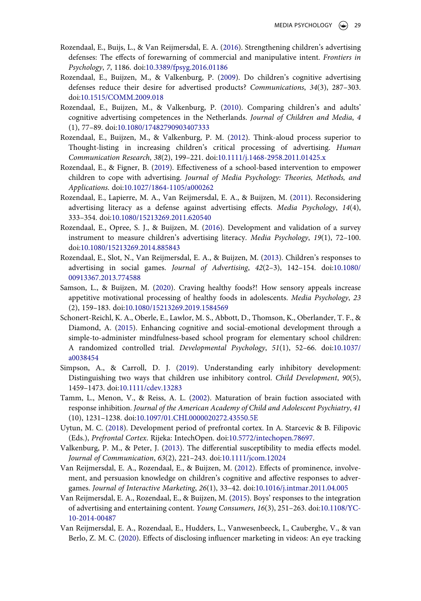- <span id="page-29-4"></span>Rozendaal, E., Buijs, L., & Van Reijmersdal, E. A. [\(2016](#page-2-1)). Strengthening children's advertising defenses: The effects of forewarning of commercial and manipulative intent. *Frontiers in Psychology*, *7*, 1186. doi:[10.3389/fpsyg.2016.01186](https://doi.org/10.3389/fpsyg.2016.01186)
- <span id="page-29-7"></span>Rozendaal, E., Buijzen, M., & Valkenburg, P. ([2009](#page-4-2)). Do children's cognitive advertising defenses reduce their desire for advertised products? *Communications*, *34*(3), 287–303. doi:[10.1515/COMM.2009.018](https://doi.org/10.1515/COMM.2009.018)
- <span id="page-29-13"></span>Rozendaal, E., Buijzen, M., & Valkenburg, P. [\(2010\)](#page-22-1). Comparing children's and adults' cognitive advertising competences in the Netherlands. *Journal of Children and Media*, *4*  (1), 77–89. doi:[10.1080/17482790903407333](https://doi.org/10.1080/17482790903407333)
- <span id="page-29-1"></span>Rozendaal, E., Buijzen, M., & Valkenburg, P. M. ([2012\)](#page-2-9). Think-aloud process superior to Thought-listing in increasing children's critical processing of advertising. *Human Communication Research*, *38*(2), 199–221. doi:[10.1111/j.1468-2958.2011.01425.x](https://doi.org/10.1111/j.1468-2958.2011.01425.x)
- <span id="page-29-8"></span>Rozendaal, E., & Figner, B. ([2019\)](#page-4-2). Effectiveness of a school-based intervention to empower children to cope with advertising. *Journal of Media Psychology: Theories, Methods, and Applications*. doi:[10.1027/1864-1105/a000262](https://doi.org/10.1027/1864-1105/a000262)
- <span id="page-29-0"></span>Rozendaal, E., Lapierre, M. A., Van Reijmersdal, E. A., & Buijzen, M. [\(2011\)](#page-1-3). Reconsidering advertising literacy as a defense against advertising effects. *Media Psychology*, *14*(4), 333–354. doi:[10.1080/15213269.2011.620540](https://doi.org/10.1080/15213269.2011.620540)
- <span id="page-29-12"></span>Rozendaal, E., Opree, S. J., & Buijzen, M. [\(2016](#page-14-0)). Development and validation of a survey instrument to measure children's advertising literacy. *Media Psychology*, *19*(1), 72–100. doi:[10.1080/15213269.2014.885843](https://doi.org/10.1080/15213269.2014.885843)
- <span id="page-29-2"></span>Rozendaal, E., Slot, N., Van Reijmersdal, E. A., & Buijzen, M. ([2013\)](#page-2-10). Children's responses to advertising in social games. *Journal of Advertising*, *42*(2–3), 142–154. doi:[10.1080/](https://doi.org/10.1080/00913367.2013.774588) [00913367.2013.774588](https://doi.org/10.1080/00913367.2013.774588)
- <span id="page-29-14"></span>Samson, L., & Buijzen, M. [\(2020](#page-23-6)). Craving healthy foods?! How sensory appeals increase appetitive motivational processing of healthy foods in adolescents. *Media Psychology*, *23*  (2), 159–183. doi:[10.1080/15213269.2019.1584569](https://doi.org/10.1080/15213269.2019.1584569)
- <span id="page-29-16"></span>Schonert-Reichl, K. A., Oberle, E., Lawlor, M. S., Abbott, D., Thomson, K., Oberlander, T. F., & Diamond, A. ([2015](#page-24-1)). Enhancing cognitive and social-emotional development through a simple-to-administer mindfulness-based school program for elementary school children: A randomized controlled trial. *Developmental Psychology*, *51*(1), 52–66. doi:[10.1037/](https://doi.org/10.1037/a0038454)  [a0038454](https://doi.org/10.1037/a0038454)
- <span id="page-29-11"></span>Simpson, A., & Carroll, D. J. [\(2019](#page-6-5)). Understanding early inhibitory development: Distinguishing two ways that children use inhibitory control. *Child Development*, *90*(5), 1459–1473. doi:[10.1111/cdev.13283](https://doi.org/10.1111/cdev.13283)
- <span id="page-29-10"></span>Tamm, L., Menon, V., & Reiss, A. L. ([2002\)](#page-6-0). Maturation of brain fuction associated with response inhibition. *Journal of the American Academy of Child and Adolescent Psychiatry*, *41*  (10), 1231–1238. doi:[10.1097/01.CHI.0000020272.43550.5E](https://doi.org/10.1097/01.CHI.0000020272.43550.5E)
- <span id="page-29-6"></span>Uytun, M. C. ([2018\)](#page-3-5). Development period of prefrontal cortex. In A. Starcevic & B. Filipovic (Eds.), *Prefrontal Cortex*. Rijeka: IntechOpen. doi:[10.5772/intechopen.78697](https://doi.org/10.5772/intechopen.78697).
- <span id="page-29-5"></span>Valkenburg, P. M., & Peter, J. ([2013](#page-2-11)). The differential susceptibility to media effects model. *Journal of Communication*, *63*(2), 221–243. doi:[10.1111/jcom.12024](https://doi.org/10.1111/jcom.12024)
- <span id="page-29-3"></span>Van Reijmersdal, E. A., Rozendaal, E., & Buijzen, M. [\(2012](#page-2-8)). Effects of prominence, involvement, and persuasion knowledge on children's cognitive and affective responses to advergames. *Journal of Interactive Marketing*, *26*(1), 33–42. doi:[10.1016/j.intmar.2011.04.005](https://doi.org/10.1016/j.intmar.2011.04.005)
- <span id="page-29-9"></span>Van Reijmersdal, E. A., Rozendaal, E., & Buijzen, M. ([2015\)](#page-4-3). Boys' responses to the integration of advertising and entertaining content. *Young Consumers*, *16*(3), 251–263. doi:[10.1108/YC-](https://doi.org/10.1108/YC-10-2014-00487)[10-2014-00487](https://doi.org/10.1108/YC-10-2014-00487)
- <span id="page-29-15"></span>Van Reijmersdal, E. A., Rozendaal, E., Hudders, L., Vanwesenbeeck, I., Cauberghe, V., & van Berlo, Z. M. C. ([2020](#page-23-7)). Effects of disclosing influencer marketing in videos: An eye tracking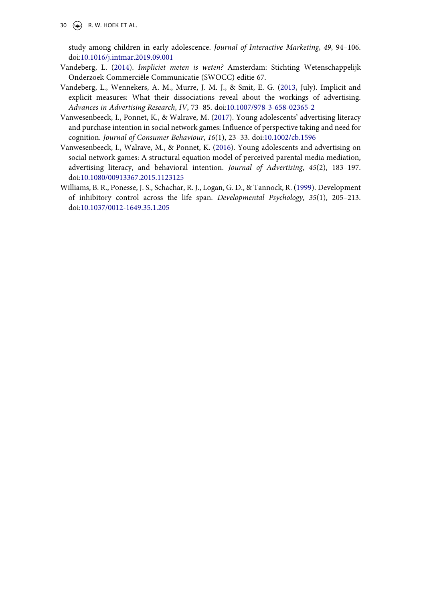30  $\left(\rightarrow\right)$  R. W. HOEK ET AL.

study among children in early adolescence. *Journal of Interactive Marketing*, *49*, 94–106. doi:[10.1016/j.intmar.2019.09.001](https://doi.org/10.1016/j.intmar.2019.09.001)

- <span id="page-30-2"></span>Vandeberg, L. ([2014\)](#page-2-12). *Impliciet meten is weten?* Amsterdam: Stichting Wetenschappelijk Onderzoek Commerciële Communicatie (SWOCC) editie 67.
- <span id="page-30-1"></span>Vandeberg, L., Wennekers, A. M., Murre, J. M. J., & Smit, E. G. ([2013,](#page-2-13) July). Implicit and explicit measures: What their dissociations reveal about the workings of advertising. *Advances in Advertising Research*, *IV*, 73–85. doi:[10.1007/978-3-658-02365-2](https://doi.org/10.1007/978-3-658-02365-2)
- <span id="page-30-3"></span>Vanwesenbeeck, I., Ponnet, K., & Walrave, M. [\(2017\)](#page-4-4). Young adolescents' advertising literacy and purchase intention in social network games: Influence of perspective taking and need for cognition. *Journal of Consumer Behaviour*, *16*(1), 23–33. doi:[10.1002/cb.1596](https://doi.org/10.1002/cb.1596)
- <span id="page-30-0"></span>Vanwesenbeeck, I., Walrave, M., & Ponnet, K. [\(2016](#page-2-14)). Young adolescents and advertising on social network games: A structural equation model of perceived parental media mediation, advertising literacy, and behavioral intention. *Journal of Advertising*, *45*(2), 183–197. doi:[10.1080/00913367.2015.1123125](https://doi.org/10.1080/00913367.2015.1123125)
- <span id="page-30-4"></span>Williams, B. R., Ponesse, J. S., Schachar, R. J., Logan, G. D., & Tannock, R. ([1999](#page-6-6)). Development of inhibitory control across the life span. *Developmental Psychology*, *35*(1), 205–213. doi:[10.1037/0012-1649.35.1.205](https://doi.org/10.1037/0012-1649.35.1.205)